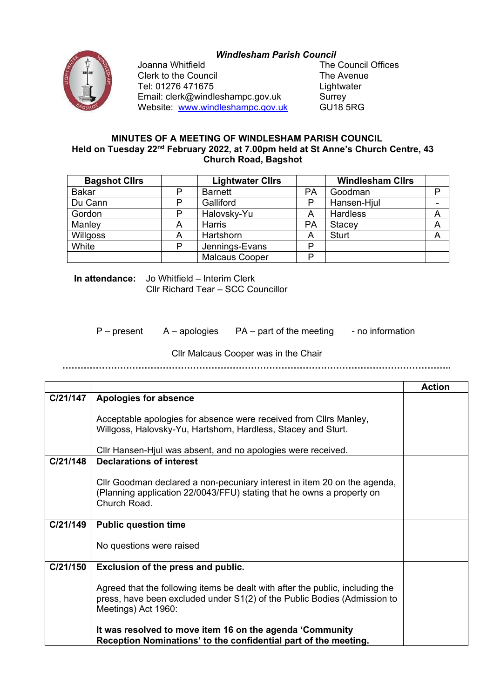# *Windlesham Parish Council*



Joanna Whitfield **The Council View Council Clerk** to the Council Clerk to the Council Offices Council Offices Clerk to the Council The Avenue Tel: 01276 471675<br>Email: clerk@windleshampc.gov.uk Surrey Email: clerk@windleshampc.gov.uk Surrey<br>Website: www.windleshampc.gov.uk GU18 5RG Website: www.windleshampc.gov.uk

# **MINUTES OF A MEETING OF WINDLESHAM PARISH COUNCIL Held on Tuesday 22nd February 2022, at 7.00pm held at St Anne's Church Centre, 43 Church Road, Bagshot**

| <b>Bagshot Clirs</b> |   | <b>Lightwater Cllrs</b> |    | <b>Windlesham Clirs</b> |  |
|----------------------|---|-------------------------|----|-------------------------|--|
| <b>Bakar</b>         | P | <b>Barnett</b>          | PA | Goodman                 |  |
| Du Cann              | P | Galliford               | P  | Hansen-Hjul             |  |
| Gordon               | P | Halovsky-Yu             | A  | <b>Hardless</b>         |  |
| Manley               | Α | <b>Harris</b>           | PA | Stacey                  |  |
| Willgoss             |   | Hartshorn               | A  | <b>Sturt</b>            |  |
| White                | P | Jennings-Evans          | P  |                         |  |
|                      |   | <b>Malcaus Cooper</b>   | D  |                         |  |

**In attendance:** Jo Whitfield – Interim Clerk Cllr Richard Tear – SCC Councillor

 $P$  – present  $A$  – apologies  $PA$  – part of the meeting - no information

Cllr Malcaus Cooper was in the Chair

**………………………………………………………………………………………………………………..** 

|          |                                                                                                                             | <b>Action</b> |
|----------|-----------------------------------------------------------------------------------------------------------------------------|---------------|
| C/21/147 | Apologies for absence                                                                                                       |               |
|          |                                                                                                                             |               |
|          | Acceptable apologies for absence were received from Cllrs Manley,                                                           |               |
|          | Willgoss, Halovsky-Yu, Hartshorn, Hardless, Stacey and Sturt.                                                               |               |
|          | Cllr Hansen-Hjul was absent, and no apologies were received.                                                                |               |
| C/21/148 | <b>Declarations of interest</b>                                                                                             |               |
|          |                                                                                                                             |               |
|          | CIIr Goodman declared a non-pecuniary interest in item 20 on the agenda,                                                    |               |
|          | (Planning application 22/0043/FFU) stating that he owns a property on                                                       |               |
|          | Church Road.                                                                                                                |               |
|          |                                                                                                                             |               |
| C/21/149 | <b>Public question time</b>                                                                                                 |               |
|          |                                                                                                                             |               |
|          | No questions were raised                                                                                                    |               |
|          |                                                                                                                             |               |
| C/21/150 | Exclusion of the press and public.                                                                                          |               |
|          |                                                                                                                             |               |
|          | Agreed that the following items be dealt with after the public, including the                                               |               |
|          | press, have been excluded under S1(2) of the Public Bodies (Admission to                                                    |               |
|          | Meetings) Act 1960:                                                                                                         |               |
|          |                                                                                                                             |               |
|          |                                                                                                                             |               |
|          | It was resolved to move item 16 on the agenda 'Community<br>Reception Nominations' to the confidential part of the meeting. |               |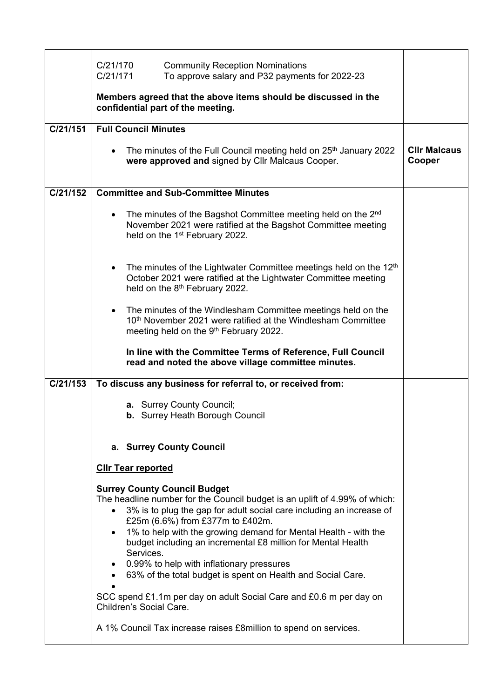| Members agreed that the above items should be discussed in the<br>confidential part of the meeting.                                                                                                                                                                                                                                                                                                                                                                                                                                                                                                                                                                                         |                               |
|---------------------------------------------------------------------------------------------------------------------------------------------------------------------------------------------------------------------------------------------------------------------------------------------------------------------------------------------------------------------------------------------------------------------------------------------------------------------------------------------------------------------------------------------------------------------------------------------------------------------------------------------------------------------------------------------|-------------------------------|
| C/21/151<br><b>Full Council Minutes</b>                                                                                                                                                                                                                                                                                                                                                                                                                                                                                                                                                                                                                                                     |                               |
| The minutes of the Full Council meeting held on 25 <sup>th</sup> January 2022<br>were approved and signed by Cllr Malcaus Cooper.                                                                                                                                                                                                                                                                                                                                                                                                                                                                                                                                                           | <b>CIIr Malcaus</b><br>Cooper |
| <b>Committee and Sub-Committee Minutes</b><br>C/21/152                                                                                                                                                                                                                                                                                                                                                                                                                                                                                                                                                                                                                                      |                               |
| The minutes of the Bagshot Committee meeting held on the 2 <sup>nd</sup><br>November 2021 were ratified at the Bagshot Committee meeting<br>held on the 1 <sup>st</sup> February 2022.                                                                                                                                                                                                                                                                                                                                                                                                                                                                                                      |                               |
| The minutes of the Lightwater Committee meetings held on the 12 <sup>th</sup><br>October 2021 were ratified at the Lightwater Committee meeting<br>held on the 8 <sup>th</sup> February 2022.                                                                                                                                                                                                                                                                                                                                                                                                                                                                                               |                               |
| The minutes of the Windlesham Committee meetings held on the<br>$\bullet$<br>10th November 2021 were ratified at the Windlesham Committee<br>meeting held on the 9 <sup>th</sup> February 2022.                                                                                                                                                                                                                                                                                                                                                                                                                                                                                             |                               |
| In line with the Committee Terms of Reference, Full Council<br>read and noted the above village committee minutes.                                                                                                                                                                                                                                                                                                                                                                                                                                                                                                                                                                          |                               |
| C/21/153<br>To discuss any business for referral to, or received from:                                                                                                                                                                                                                                                                                                                                                                                                                                                                                                                                                                                                                      |                               |
| a. Surrey County Council;<br><b>b.</b> Surrey Heath Borough Council                                                                                                                                                                                                                                                                                                                                                                                                                                                                                                                                                                                                                         |                               |
| a. Surrey County Council                                                                                                                                                                                                                                                                                                                                                                                                                                                                                                                                                                                                                                                                    |                               |
| <b>Clir Tear reported</b>                                                                                                                                                                                                                                                                                                                                                                                                                                                                                                                                                                                                                                                                   |                               |
| <b>Surrey County Council Budget</b><br>The headline number for the Council budget is an uplift of 4.99% of which:<br>3% is to plug the gap for adult social care including an increase of<br>$\bullet$<br>£25m (6.6%) from £377m to £402m.<br>1% to help with the growing demand for Mental Health - with the<br>budget including an incremental £8 million for Mental Health<br>Services.<br>• 0.99% to help with inflationary pressures<br>63% of the total budget is spent on Health and Social Care.<br>$\bullet$<br>SCC spend £1.1m per day on adult Social Care and £0.6 m per day on<br>Children's Social Care.<br>A 1% Council Tax increase raises £8 million to spend on services. |                               |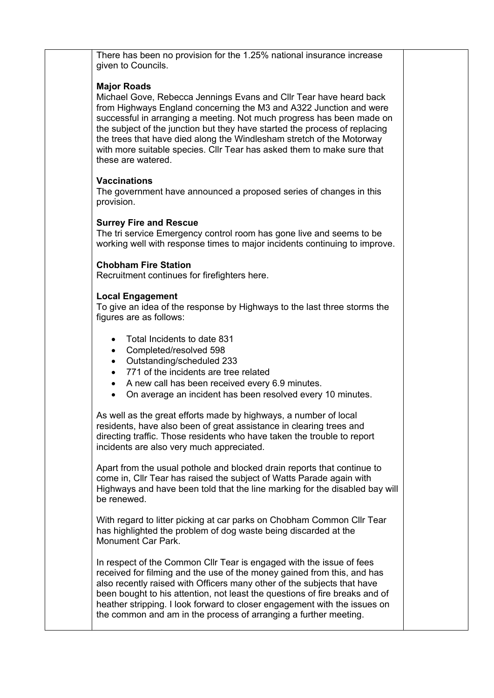There has been no provision for the 1.25% national insurance increase given to Councils.

#### **Major Roads**

Michael Gove, Rebecca Jennings Evans and Cllr Tear have heard back from Highways England concerning the M3 and A322 Junction and were successful in arranging a meeting. Not much progress has been made on the subject of the junction but they have started the process of replacing the trees that have died along the Windlesham stretch of the Motorway with more suitable species. Cllr Tear has asked them to make sure that these are watered.

#### **Vaccinations**

The government have announced a proposed series of changes in this provision.

#### **Surrey Fire and Rescue**

The tri service Emergency control room has gone live and seems to be working well with response times to major incidents continuing to improve.

### **Chobham Fire Station**

Recruitment continues for firefighters here.

### **Local Engagement**

To give an idea of the response by Highways to the last three storms the figures are as follows:

- Total Incidents to date 831
- Completed/resolved 598
- Outstanding/scheduled 233
- 771 of the incidents are tree related
- A new call has been received every 6.9 minutes.
- On average an incident has been resolved every 10 minutes.

As well as the great efforts made by highways, a number of local residents, have also been of great assistance in clearing trees and directing traffic. Those residents who have taken the trouble to report incidents are also very much appreciated.

Apart from the usual pothole and blocked drain reports that continue to come in, Cllr Tear has raised the subject of Watts Parade again with Highways and have been told that the line marking for the disabled bay will be renewed.

With regard to litter picking at car parks on Chobham Common Cllr Tear has highlighted the problem of dog waste being discarded at the Monument Car Park.

In respect of the Common Cllr Tear is engaged with the issue of fees received for filming and the use of the money gained from this, and has also recently raised with Officers many other of the subjects that have been bought to his attention, not least the questions of fire breaks and of heather stripping. I look forward to closer engagement with the issues on the common and am in the process of arranging a further meeting.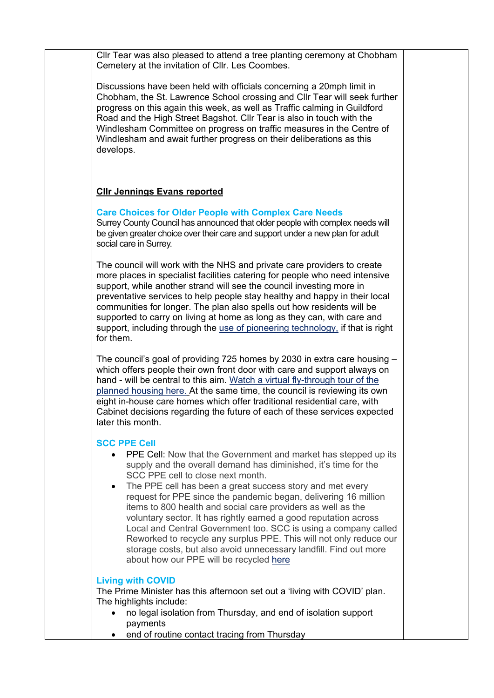Cllr Tear was also pleased to attend a tree planting ceremony at Chobham Cemetery at the invitation of Cllr. Les Coombes.

Discussions have been held with officials concerning a 20mph limit in Chobham, the St. Lawrence School crossing and Cllr Tear will seek further progress on this again this week, as well as Traffic calming in Guildford Road and the High Street Bagshot. Cllr Tear is also in touch with the Windlesham Committee on progress on traffic measures in the Centre of Windlesham and await further progress on their deliberations as this develops.

# **Cllr Jennings Evans reported**

#### **Care Choices for Older People with Complex Care Needs**

Surrey County Council has announced that older people with complex needs will be given greater choice over their care and support under a new plan for adult social care in Surrey.

The council will work with the NHS and private care providers to create more places in specialist facilities catering for people who need intensive support, while another strand will see the council investing more in preventative services to help people stay healthy and happy in their local communities for longer. The plan also spells out how residents will be supported to carry on living at home as long as they can, with care and support, including through the [use of pioneering technology,](https://news.surreycc.gov.uk/2021/11/18/pioneering-home-sensors-help-people-live-independently-for-longer/) if that is right for them.

The council's goal of providing 725 homes by 2030 in extra care housing – which offers people their own front door with care and support always on hand - will be central to this aim. [Watch a virtual fly-through tour of the](https://www.youtube.com/watch?v=xcQNcxU-VR4&feature=youtu.be)  [planned housing here.](https://www.youtube.com/watch?v=xcQNcxU-VR4&feature=youtu.be) At the same time, the council is reviewing its own eight in-house care homes which offer traditional residential care, with Cabinet decisions regarding the future of each of these services expected later this month.

#### **SCC PPE Cell**

- PPE Cell: Now that the Government and market has stepped up its supply and the overall demand has diminished, it's time for the SCC PPE cell to close next month.
- The PPE cell has been a great success story and met every request for PPE since the pandemic began, delivering 16 million items to 800 health and social care providers as well as the voluntary sector. It has rightly earned a good reputation across Local and Central Government too. SCC is using a company called Reworked to recycle any surplus PPE. This will not only reduce our storage costs, but also avoid unnecessary landfill. Find out more about how our PPE will be recycled [here](https://www.reworked.com/2020/12/18/how-to-recycle-ppe-covid-masks-gloves-visors-etc/)

#### **Living with COVID**

The Prime Minister has this afternoon set out a 'living with COVID' plan. The highlights include:

- no legal isolation from Thursday, and end of isolation support payments
- end of routine contact tracing from Thursday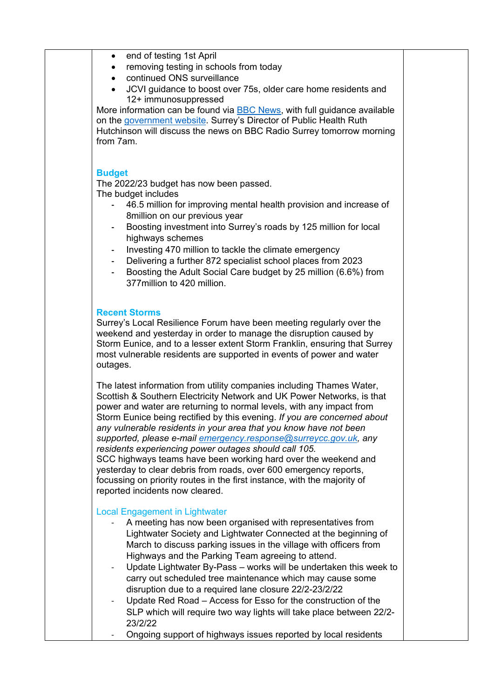| end of testing 1st April<br>$\bullet$<br>removing testing in schools from today<br>continued ONS surveillance<br>$\bullet$<br>JCVI guidance to boost over 75s, older care home residents and<br>$\bullet$<br>12+ immunosuppressed<br>More information can be found via <b>BBC News</b> , with full guidance available<br>on the government website. Surrey's Director of Public Health Ruth<br>Hutchinson will discuss the news on BBC Radio Surrey tomorrow morning                                                                                                                                                                                                                                                                                        |  |
|-------------------------------------------------------------------------------------------------------------------------------------------------------------------------------------------------------------------------------------------------------------------------------------------------------------------------------------------------------------------------------------------------------------------------------------------------------------------------------------------------------------------------------------------------------------------------------------------------------------------------------------------------------------------------------------------------------------------------------------------------------------|--|
| from 7am.<br><b>Budget</b><br>The 2022/23 budget has now been passed.<br>The budget includes<br>46.5 million for improving mental health provision and increase of<br>8million on our previous year<br>Boosting investment into Surrey's roads by 125 million for local<br>-<br>highways schemes<br>Investing 470 million to tackle the climate emergency<br>$\qquad \qquad \blacksquare$<br>Delivering a further 872 specialist school places from 2023<br>Boosting the Adult Social Care budget by 25 million (6.6%) from<br>377 million to 420 million.                                                                                                                                                                                                  |  |
| <b>Recent Storms</b><br>Surrey's Local Resilience Forum have been meeting regularly over the<br>weekend and yesterday in order to manage the disruption caused by<br>Storm Eunice, and to a lesser extent Storm Franklin, ensuring that Surrey<br>most vulnerable residents are supported in events of power and water<br>outages.                                                                                                                                                                                                                                                                                                                                                                                                                          |  |
| The latest information from utility companies including Thames Water,<br>Scottish & Southern Electricity Network and UK Power Networks, is that<br>power and water are returning to normal levels, with any impact from<br>Storm Eunice being rectified by this evening. If you are concerned about<br>any vulnerable residents in your area that you know have not been<br>supported, please e-mail emergency.response@surreycc.gov.uk, any<br>residents experiencing power outages should call 105.<br>SCC highways teams have been working hard over the weekend and<br>yesterday to clear debris from roads, over 600 emergency reports,<br>focussing on priority routes in the first instance, with the majority of<br>reported incidents now cleared. |  |
| <b>Local Engagement in Lightwater</b><br>A meeting has now been organised with representatives from<br>Lightwater Society and Lightwater Connected at the beginning of<br>March to discuss parking issues in the village with officers from<br>Highways and the Parking Team agreeing to attend.<br>Update Lightwater By-Pass - works will be undertaken this week to<br>carry out scheduled tree maintenance which may cause some<br>disruption due to a required lane closure 22/2-23/2/22<br>Update Red Road - Access for Esso for the construction of the<br>$\qquad \qquad -$<br>SLP which will require two way lights will take place between 22/2-<br>23/2/22<br>Ongoing support of highways issues reported by local residents                      |  |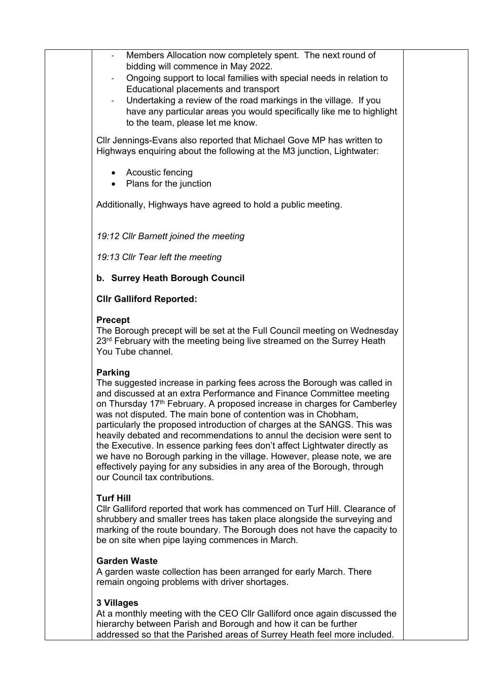| Members Allocation now completely spent. The next round of<br>bidding will commence in May 2022.<br>Ongoing support to local families with special needs in relation to<br>Educational placements and transport<br>Undertaking a review of the road markings in the village. If you<br>have any particular areas you would specifically like me to highlight<br>to the team, please let me know.                                                                                                                                                                                                                                                                                                                                                      |  |
|-------------------------------------------------------------------------------------------------------------------------------------------------------------------------------------------------------------------------------------------------------------------------------------------------------------------------------------------------------------------------------------------------------------------------------------------------------------------------------------------------------------------------------------------------------------------------------------------------------------------------------------------------------------------------------------------------------------------------------------------------------|--|
| Cllr Jennings-Evans also reported that Michael Gove MP has written to<br>Highways enquiring about the following at the M3 junction, Lightwater:                                                                                                                                                                                                                                                                                                                                                                                                                                                                                                                                                                                                       |  |
| Acoustic fencing<br>٠<br>Plans for the junction<br>$\bullet$                                                                                                                                                                                                                                                                                                                                                                                                                                                                                                                                                                                                                                                                                          |  |
| Additionally, Highways have agreed to hold a public meeting.                                                                                                                                                                                                                                                                                                                                                                                                                                                                                                                                                                                                                                                                                          |  |
| 19:12 Cllr Barnett joined the meeting                                                                                                                                                                                                                                                                                                                                                                                                                                                                                                                                                                                                                                                                                                                 |  |
| 19:13 Cllr Tear left the meeting                                                                                                                                                                                                                                                                                                                                                                                                                                                                                                                                                                                                                                                                                                                      |  |
| b. Surrey Heath Borough Council                                                                                                                                                                                                                                                                                                                                                                                                                                                                                                                                                                                                                                                                                                                       |  |
| <b>CIIr Galliford Reported:</b>                                                                                                                                                                                                                                                                                                                                                                                                                                                                                                                                                                                                                                                                                                                       |  |
| <b>Precept</b><br>The Borough precept will be set at the Full Council meeting on Wednesday<br>23 <sup>rd</sup> February with the meeting being live streamed on the Surrey Heath<br>You Tube channel.                                                                                                                                                                                                                                                                                                                                                                                                                                                                                                                                                 |  |
| <b>Parking</b><br>The suggested increase in parking fees across the Borough was called in<br>and discussed at an extra Performance and Finance Committee meeting<br>on Thursday 17 <sup>th</sup> February. A proposed increase in charges for Camberley<br>was not disputed. The main bone of contention was in Chobham,<br>particularly the proposed introduction of charges at the SANGS. This was<br>heavily debated and recommendations to annul the decision were sent to<br>the Executive. In essence parking fees don't affect Lightwater directly as<br>we have no Borough parking in the village. However, please note, we are<br>effectively paying for any subsidies in any area of the Borough, through<br>our Council tax contributions. |  |
| <b>Turf Hill</b><br>Cllr Galliford reported that work has commenced on Turf Hill. Clearance of<br>shrubbery and smaller trees has taken place alongside the surveying and<br>marking of the route boundary. The Borough does not have the capacity to<br>be on site when pipe laying commences in March.                                                                                                                                                                                                                                                                                                                                                                                                                                              |  |
| <b>Garden Waste</b><br>A garden waste collection has been arranged for early March. There<br>remain ongoing problems with driver shortages.                                                                                                                                                                                                                                                                                                                                                                                                                                                                                                                                                                                                           |  |
| 3 Villages<br>At a monthly meeting with the CEO CIIr Galliford once again discussed the                                                                                                                                                                                                                                                                                                                                                                                                                                                                                                                                                                                                                                                               |  |

hierarchy between Parish and Borough and how it can be further

addressed so that the Parished areas of Surrey Heath feel more included.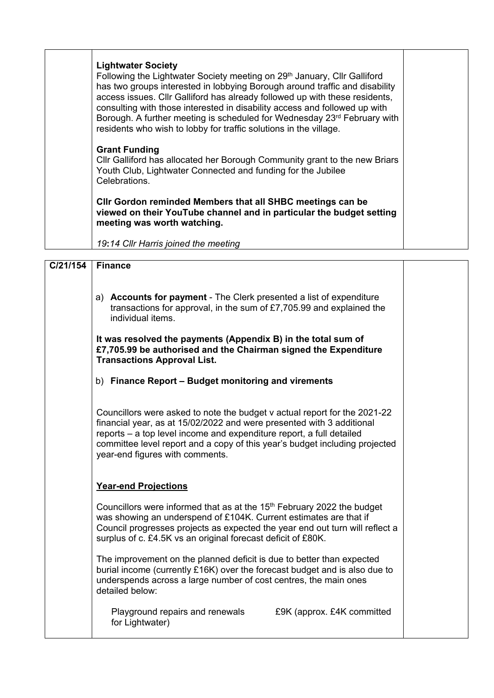|          | <b>Lightwater Society</b><br>Following the Lightwater Society meeting on 29 <sup>th</sup> January, Cllr Galliford<br>has two groups interested in lobbying Borough around traffic and disability<br>access issues. Cllr Galliford has already followed up with these residents,<br>consulting with those interested in disability access and followed up with<br>Borough. A further meeting is scheduled for Wednesday 23rd February with<br>residents who wish to lobby for traffic solutions in the village. |  |
|----------|----------------------------------------------------------------------------------------------------------------------------------------------------------------------------------------------------------------------------------------------------------------------------------------------------------------------------------------------------------------------------------------------------------------------------------------------------------------------------------------------------------------|--|
|          | <b>Grant Funding</b><br>CIIr Galliford has allocated her Borough Community grant to the new Briars<br>Youth Club, Lightwater Connected and funding for the Jubilee<br>Celebrations.                                                                                                                                                                                                                                                                                                                            |  |
|          | CIIr Gordon reminded Members that all SHBC meetings can be<br>viewed on their YouTube channel and in particular the budget setting<br>meeting was worth watching.                                                                                                                                                                                                                                                                                                                                              |  |
|          | 19:14 Cllr Harris joined the meeting                                                                                                                                                                                                                                                                                                                                                                                                                                                                           |  |
| C/21/154 | <b>Finance</b>                                                                                                                                                                                                                                                                                                                                                                                                                                                                                                 |  |
|          |                                                                                                                                                                                                                                                                                                                                                                                                                                                                                                                |  |

a) **Accounts for payment** - The Clerk presented a list of expenditure transactions for approval, in the sum of £7,705.99 and explained the individual items.

**It was resolved the payments (Appendix B) in the total sum of £7,705.99 be authorised and the Chairman signed the Expenditure Transactions Approval List.**

b) **Finance Report – Budget monitoring and virements**

Councillors were asked to note the budget v actual report for the 2021-22 financial year, as at 15/02/2022 and were presented with 3 additional reports – a top level income and expenditure report, a full detailed committee level report and a copy of this year's budget including projected year-end figures with comments.

# **Year-end Projections**

Councillors were informed that as at the 15th February 2022 the budget was showing an underspend of £104K. Current estimates are that if Council progresses projects as expected the year end out turn will reflect a surplus of c. £4.5K vs an original forecast deficit of £80K.

The improvement on the planned deficit is due to better than expected burial income (currently £16K) over the forecast budget and is also due to underspends across a large number of cost centres, the main ones detailed below:

Playground repairs and renewals **E9K** (approx. £4K committed for Lightwater)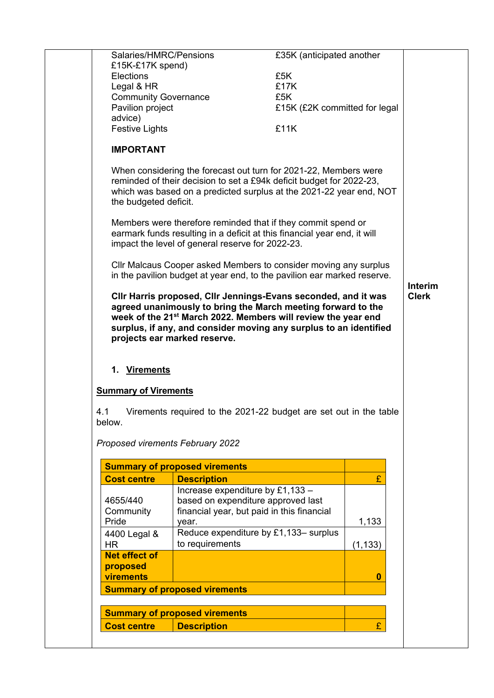| Salaries/HMRC/Pensions<br>£35K (anticipated another<br>£15K-£17K spend)<br>Elections<br>£5K<br>£17K<br>Legal & HR<br><b>Community Governance</b><br>£5K<br>Pavilion project<br>£15K (£2K committed for legal<br>advice)<br>£11K<br><b>Festive Lights</b><br><b>IMPORTANT</b><br>When considering the forecast out turn for 2021-22, Members were<br>reminded of their decision to set a £94k deficit budget for 2022-23,<br>which was based on a predicted surplus at the 2021-22 year end, NOT<br>the budgeted deficit.<br>Members were therefore reminded that if they commit spend or<br>earmark funds resulting in a deficit at this financial year end, it will<br>impact the level of general reserve for 2022-23.<br>Cllr Malcaus Cooper asked Members to consider moving any surplus<br>in the pavilion budget at year end, to the pavilion ear marked reserve.<br><b>Interim</b><br>CIIr Harris proposed, CIIr Jennings-Evans seconded, and it was<br><b>Clerk</b><br>agreed unanimously to bring the March meeting forward to the<br>week of the 21 <sup>st</sup> March 2022. Members will review the year end<br>surplus, if any, and consider moving any surplus to an identified<br>projects ear marked reserve.<br>1. Virements<br><b>Summary of Virements</b><br>4.1<br>Virements required to the 2021-22 budget are set out in the table<br>below.<br>Proposed virements February 2022<br><b>Summary of proposed virements</b><br><b>Cost centre</b><br>£<br><b>Description</b><br>Increase expenditure by £1,133 -<br>based on expenditure approved last<br>4655/440<br>financial year, but paid in this financial<br>Community<br>Pride<br>1,133<br>year.<br>Reduce expenditure by £1,133- surplus<br>4400 Legal &<br>to requirements<br><b>HR</b><br>(1, 133)<br><b>Net effect of</b><br>proposed<br>virements<br>$\bf{0}$<br><b>Summary of proposed virements</b><br><b>Summary of proposed virements</b><br><b>Cost centre</b> |  |  |  |
|-----------------------------------------------------------------------------------------------------------------------------------------------------------------------------------------------------------------------------------------------------------------------------------------------------------------------------------------------------------------------------------------------------------------------------------------------------------------------------------------------------------------------------------------------------------------------------------------------------------------------------------------------------------------------------------------------------------------------------------------------------------------------------------------------------------------------------------------------------------------------------------------------------------------------------------------------------------------------------------------------------------------------------------------------------------------------------------------------------------------------------------------------------------------------------------------------------------------------------------------------------------------------------------------------------------------------------------------------------------------------------------------------------------------------------------------------------------------------------------------------------------------------------------------------------------------------------------------------------------------------------------------------------------------------------------------------------------------------------------------------------------------------------------------------------------------------------------------------------------------------------------------------------------------------------------------------------|--|--|--|
|                                                                                                                                                                                                                                                                                                                                                                                                                                                                                                                                                                                                                                                                                                                                                                                                                                                                                                                                                                                                                                                                                                                                                                                                                                                                                                                                                                                                                                                                                                                                                                                                                                                                                                                                                                                                                                                                                                                                                     |  |  |  |
|                                                                                                                                                                                                                                                                                                                                                                                                                                                                                                                                                                                                                                                                                                                                                                                                                                                                                                                                                                                                                                                                                                                                                                                                                                                                                                                                                                                                                                                                                                                                                                                                                                                                                                                                                                                                                                                                                                                                                     |  |  |  |
|                                                                                                                                                                                                                                                                                                                                                                                                                                                                                                                                                                                                                                                                                                                                                                                                                                                                                                                                                                                                                                                                                                                                                                                                                                                                                                                                                                                                                                                                                                                                                                                                                                                                                                                                                                                                                                                                                                                                                     |  |  |  |
|                                                                                                                                                                                                                                                                                                                                                                                                                                                                                                                                                                                                                                                                                                                                                                                                                                                                                                                                                                                                                                                                                                                                                                                                                                                                                                                                                                                                                                                                                                                                                                                                                                                                                                                                                                                                                                                                                                                                                     |  |  |  |
|                                                                                                                                                                                                                                                                                                                                                                                                                                                                                                                                                                                                                                                                                                                                                                                                                                                                                                                                                                                                                                                                                                                                                                                                                                                                                                                                                                                                                                                                                                                                                                                                                                                                                                                                                                                                                                                                                                                                                     |  |  |  |
|                                                                                                                                                                                                                                                                                                                                                                                                                                                                                                                                                                                                                                                                                                                                                                                                                                                                                                                                                                                                                                                                                                                                                                                                                                                                                                                                                                                                                                                                                                                                                                                                                                                                                                                                                                                                                                                                                                                                                     |  |  |  |
|                                                                                                                                                                                                                                                                                                                                                                                                                                                                                                                                                                                                                                                                                                                                                                                                                                                                                                                                                                                                                                                                                                                                                                                                                                                                                                                                                                                                                                                                                                                                                                                                                                                                                                                                                                                                                                                                                                                                                     |  |  |  |
|                                                                                                                                                                                                                                                                                                                                                                                                                                                                                                                                                                                                                                                                                                                                                                                                                                                                                                                                                                                                                                                                                                                                                                                                                                                                                                                                                                                                                                                                                                                                                                                                                                                                                                                                                                                                                                                                                                                                                     |  |  |  |
|                                                                                                                                                                                                                                                                                                                                                                                                                                                                                                                                                                                                                                                                                                                                                                                                                                                                                                                                                                                                                                                                                                                                                                                                                                                                                                                                                                                                                                                                                                                                                                                                                                                                                                                                                                                                                                                                                                                                                     |  |  |  |
|                                                                                                                                                                                                                                                                                                                                                                                                                                                                                                                                                                                                                                                                                                                                                                                                                                                                                                                                                                                                                                                                                                                                                                                                                                                                                                                                                                                                                                                                                                                                                                                                                                                                                                                                                                                                                                                                                                                                                     |  |  |  |
|                                                                                                                                                                                                                                                                                                                                                                                                                                                                                                                                                                                                                                                                                                                                                                                                                                                                                                                                                                                                                                                                                                                                                                                                                                                                                                                                                                                                                                                                                                                                                                                                                                                                                                                                                                                                                                                                                                                                                     |  |  |  |
|                                                                                                                                                                                                                                                                                                                                                                                                                                                                                                                                                                                                                                                                                                                                                                                                                                                                                                                                                                                                                                                                                                                                                                                                                                                                                                                                                                                                                                                                                                                                                                                                                                                                                                                                                                                                                                                                                                                                                     |  |  |  |
|                                                                                                                                                                                                                                                                                                                                                                                                                                                                                                                                                                                                                                                                                                                                                                                                                                                                                                                                                                                                                                                                                                                                                                                                                                                                                                                                                                                                                                                                                                                                                                                                                                                                                                                                                                                                                                                                                                                                                     |  |  |  |
|                                                                                                                                                                                                                                                                                                                                                                                                                                                                                                                                                                                                                                                                                                                                                                                                                                                                                                                                                                                                                                                                                                                                                                                                                                                                                                                                                                                                                                                                                                                                                                                                                                                                                                                                                                                                                                                                                                                                                     |  |  |  |
|                                                                                                                                                                                                                                                                                                                                                                                                                                                                                                                                                                                                                                                                                                                                                                                                                                                                                                                                                                                                                                                                                                                                                                                                                                                                                                                                                                                                                                                                                                                                                                                                                                                                                                                                                                                                                                                                                                                                                     |  |  |  |
|                                                                                                                                                                                                                                                                                                                                                                                                                                                                                                                                                                                                                                                                                                                                                                                                                                                                                                                                                                                                                                                                                                                                                                                                                                                                                                                                                                                                                                                                                                                                                                                                                                                                                                                                                                                                                                                                                                                                                     |  |  |  |
|                                                                                                                                                                                                                                                                                                                                                                                                                                                                                                                                                                                                                                                                                                                                                                                                                                                                                                                                                                                                                                                                                                                                                                                                                                                                                                                                                                                                                                                                                                                                                                                                                                                                                                                                                                                                                                                                                                                                                     |  |  |  |
|                                                                                                                                                                                                                                                                                                                                                                                                                                                                                                                                                                                                                                                                                                                                                                                                                                                                                                                                                                                                                                                                                                                                                                                                                                                                                                                                                                                                                                                                                                                                                                                                                                                                                                                                                                                                                                                                                                                                                     |  |  |  |
|                                                                                                                                                                                                                                                                                                                                                                                                                                                                                                                                                                                                                                                                                                                                                                                                                                                                                                                                                                                                                                                                                                                                                                                                                                                                                                                                                                                                                                                                                                                                                                                                                                                                                                                                                                                                                                                                                                                                                     |  |  |  |
|                                                                                                                                                                                                                                                                                                                                                                                                                                                                                                                                                                                                                                                                                                                                                                                                                                                                                                                                                                                                                                                                                                                                                                                                                                                                                                                                                                                                                                                                                                                                                                                                                                                                                                                                                                                                                                                                                                                                                     |  |  |  |
|                                                                                                                                                                                                                                                                                                                                                                                                                                                                                                                                                                                                                                                                                                                                                                                                                                                                                                                                                                                                                                                                                                                                                                                                                                                                                                                                                                                                                                                                                                                                                                                                                                                                                                                                                                                                                                                                                                                                                     |  |  |  |
|                                                                                                                                                                                                                                                                                                                                                                                                                                                                                                                                                                                                                                                                                                                                                                                                                                                                                                                                                                                                                                                                                                                                                                                                                                                                                                                                                                                                                                                                                                                                                                                                                                                                                                                                                                                                                                                                                                                                                     |  |  |  |
|                                                                                                                                                                                                                                                                                                                                                                                                                                                                                                                                                                                                                                                                                                                                                                                                                                                                                                                                                                                                                                                                                                                                                                                                                                                                                                                                                                                                                                                                                                                                                                                                                                                                                                                                                                                                                                                                                                                                                     |  |  |  |
|                                                                                                                                                                                                                                                                                                                                                                                                                                                                                                                                                                                                                                                                                                                                                                                                                                                                                                                                                                                                                                                                                                                                                                                                                                                                                                                                                                                                                                                                                                                                                                                                                                                                                                                                                                                                                                                                                                                                                     |  |  |  |
|                                                                                                                                                                                                                                                                                                                                                                                                                                                                                                                                                                                                                                                                                                                                                                                                                                                                                                                                                                                                                                                                                                                                                                                                                                                                                                                                                                                                                                                                                                                                                                                                                                                                                                                                                                                                                                                                                                                                                     |  |  |  |
|                                                                                                                                                                                                                                                                                                                                                                                                                                                                                                                                                                                                                                                                                                                                                                                                                                                                                                                                                                                                                                                                                                                                                                                                                                                                                                                                                                                                                                                                                                                                                                                                                                                                                                                                                                                                                                                                                                                                                     |  |  |  |
|                                                                                                                                                                                                                                                                                                                                                                                                                                                                                                                                                                                                                                                                                                                                                                                                                                                                                                                                                                                                                                                                                                                                                                                                                                                                                                                                                                                                                                                                                                                                                                                                                                                                                                                                                                                                                                                                                                                                                     |  |  |  |
|                                                                                                                                                                                                                                                                                                                                                                                                                                                                                                                                                                                                                                                                                                                                                                                                                                                                                                                                                                                                                                                                                                                                                                                                                                                                                                                                                                                                                                                                                                                                                                                                                                                                                                                                                                                                                                                                                                                                                     |  |  |  |
|                                                                                                                                                                                                                                                                                                                                                                                                                                                                                                                                                                                                                                                                                                                                                                                                                                                                                                                                                                                                                                                                                                                                                                                                                                                                                                                                                                                                                                                                                                                                                                                                                                                                                                                                                                                                                                                                                                                                                     |  |  |  |
|                                                                                                                                                                                                                                                                                                                                                                                                                                                                                                                                                                                                                                                                                                                                                                                                                                                                                                                                                                                                                                                                                                                                                                                                                                                                                                                                                                                                                                                                                                                                                                                                                                                                                                                                                                                                                                                                                                                                                     |  |  |  |
|                                                                                                                                                                                                                                                                                                                                                                                                                                                                                                                                                                                                                                                                                                                                                                                                                                                                                                                                                                                                                                                                                                                                                                                                                                                                                                                                                                                                                                                                                                                                                                                                                                                                                                                                                                                                                                                                                                                                                     |  |  |  |
|                                                                                                                                                                                                                                                                                                                                                                                                                                                                                                                                                                                                                                                                                                                                                                                                                                                                                                                                                                                                                                                                                                                                                                                                                                                                                                                                                                                                                                                                                                                                                                                                                                                                                                                                                                                                                                                                                                                                                     |  |  |  |
|                                                                                                                                                                                                                                                                                                                                                                                                                                                                                                                                                                                                                                                                                                                                                                                                                                                                                                                                                                                                                                                                                                                                                                                                                                                                                                                                                                                                                                                                                                                                                                                                                                                                                                                                                                                                                                                                                                                                                     |  |  |  |
|                                                                                                                                                                                                                                                                                                                                                                                                                                                                                                                                                                                                                                                                                                                                                                                                                                                                                                                                                                                                                                                                                                                                                                                                                                                                                                                                                                                                                                                                                                                                                                                                                                                                                                                                                                                                                                                                                                                                                     |  |  |  |
|                                                                                                                                                                                                                                                                                                                                                                                                                                                                                                                                                                                                                                                                                                                                                                                                                                                                                                                                                                                                                                                                                                                                                                                                                                                                                                                                                                                                                                                                                                                                                                                                                                                                                                                                                                                                                                                                                                                                                     |  |  |  |
|                                                                                                                                                                                                                                                                                                                                                                                                                                                                                                                                                                                                                                                                                                                                                                                                                                                                                                                                                                                                                                                                                                                                                                                                                                                                                                                                                                                                                                                                                                                                                                                                                                                                                                                                                                                                                                                                                                                                                     |  |  |  |
|                                                                                                                                                                                                                                                                                                                                                                                                                                                                                                                                                                                                                                                                                                                                                                                                                                                                                                                                                                                                                                                                                                                                                                                                                                                                                                                                                                                                                                                                                                                                                                                                                                                                                                                                                                                                                                                                                                                                                     |  |  |  |
|                                                                                                                                                                                                                                                                                                                                                                                                                                                                                                                                                                                                                                                                                                                                                                                                                                                                                                                                                                                                                                                                                                                                                                                                                                                                                                                                                                                                                                                                                                                                                                                                                                                                                                                                                                                                                                                                                                                                                     |  |  |  |
|                                                                                                                                                                                                                                                                                                                                                                                                                                                                                                                                                                                                                                                                                                                                                                                                                                                                                                                                                                                                                                                                                                                                                                                                                                                                                                                                                                                                                                                                                                                                                                                                                                                                                                                                                                                                                                                                                                                                                     |  |  |  |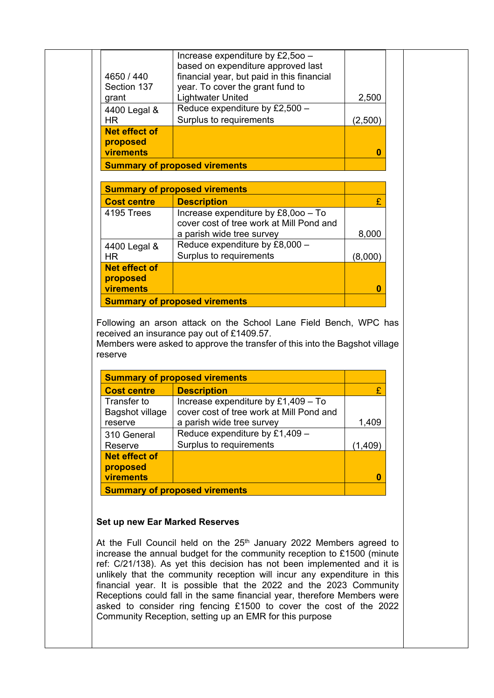|                      | Increase expenditure by £2,500 -           |         |  |
|----------------------|--------------------------------------------|---------|--|
|                      | based on expenditure approved last         |         |  |
| 4650 / 440           | financial year, but paid in this financial |         |  |
| Section 137          | year. To cover the grant fund to           |         |  |
| grant                | <b>Lightwater United</b>                   | 2,500   |  |
| 4400 Legal &         | Reduce expenditure by £2,500 -             |         |  |
| HR.                  | Surplus to requirements                    | (2,500) |  |
| <b>Net effect of</b> |                                            |         |  |
| proposed             |                                            |         |  |
| virements            |                                            | 0       |  |
|                      | <b>Summary of proposed virements</b>       |         |  |

| <b>Summary of proposed virements</b> |                                                                                   |        |  |
|--------------------------------------|-----------------------------------------------------------------------------------|--------|--|
| <b>Cost centre</b>                   | <b>Description</b>                                                                |        |  |
| 4195 Trees                           | Increase expenditure by £8,000 $-$ To<br>cover cost of tree work at Mill Pond and |        |  |
|                                      | a parish wide tree survey                                                         | 8,000  |  |
| 4400 Legal &                         | Reduce expenditure by £8,000 -                                                    |        |  |
| HR                                   | Surplus to requirements                                                           | (8,000 |  |
| <b>Net effect of</b><br>proposed     |                                                                                   |        |  |
| virements                            |                                                                                   |        |  |
|                                      | <b>Summary of proposed virements</b>                                              |        |  |

Following an arson attack on the School Lane Field Bench, WPC has received an insurance pay out of £1409.57.

Members were asked to approve the transfer of this into the Bagshot village reserve

| <b>Summary of proposed virements</b> |                                                                                 |        |
|--------------------------------------|---------------------------------------------------------------------------------|--------|
| <b>Cost centre</b>                   | <b>Description</b>                                                              | £      |
| Transfer to<br>Bagshot village       | Increase expenditure by £1,409 - To<br>cover cost of tree work at Mill Pond and |        |
| reserve                              | a parish wide tree survey                                                       | 1,409  |
| 310 General                          | Reduce expenditure by £1,409 $-$                                                |        |
| Reserve                              | Surplus to requirements                                                         | (1,409 |
| <b>Net effect of</b>                 |                                                                                 |        |
| proposed                             |                                                                                 |        |
| virements                            |                                                                                 |        |
|                                      | <b>Summary of proposed virements</b>                                            |        |

#### **Set up new Ear Marked Reserves**

At the Full Council held on the  $25<sup>th</sup>$  January 2022 Members agreed to increase the annual budget for the community reception to £1500 (minute ref: C/21/138). As yet this decision has not been implemented and it is unlikely that the community reception will incur any expenditure in this financial year. It is possible that the 2022 and the 2023 Community Receptions could fall in the same financial year, therefore Members were asked to consider ring fencing £1500 to cover the cost of the 2022 Community Reception, setting up an EMR for this purpose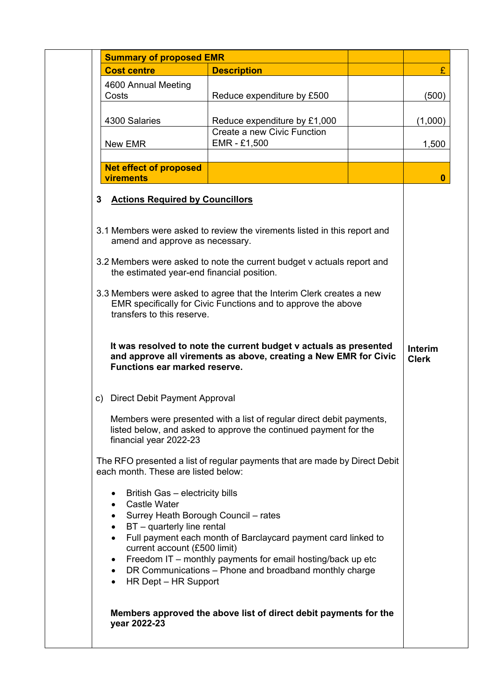|    | <b>Summary of proposed EMR</b>                                                                                                                                                                                                                                                                                                                                                                  |                                                                                                                                                                                                                                                                                                                                                                                                                  |                                |
|----|-------------------------------------------------------------------------------------------------------------------------------------------------------------------------------------------------------------------------------------------------------------------------------------------------------------------------------------------------------------------------------------------------|------------------------------------------------------------------------------------------------------------------------------------------------------------------------------------------------------------------------------------------------------------------------------------------------------------------------------------------------------------------------------------------------------------------|--------------------------------|
|    | <b>Cost centre</b>                                                                                                                                                                                                                                                                                                                                                                              | <b>Description</b>                                                                                                                                                                                                                                                                                                                                                                                               |                                |
|    | 4600 Annual Meeting                                                                                                                                                                                                                                                                                                                                                                             |                                                                                                                                                                                                                                                                                                                                                                                                                  |                                |
|    | Costs                                                                                                                                                                                                                                                                                                                                                                                           | Reduce expenditure by £500                                                                                                                                                                                                                                                                                                                                                                                       | (500)                          |
|    |                                                                                                                                                                                                                                                                                                                                                                                                 |                                                                                                                                                                                                                                                                                                                                                                                                                  |                                |
|    | 4300 Salaries                                                                                                                                                                                                                                                                                                                                                                                   | Reduce expenditure by £1,000                                                                                                                                                                                                                                                                                                                                                                                     | (1,000)                        |
|    |                                                                                                                                                                                                                                                                                                                                                                                                 | Create a new Civic Function                                                                                                                                                                                                                                                                                                                                                                                      |                                |
|    | New EMR                                                                                                                                                                                                                                                                                                                                                                                         | EMR - £1,500                                                                                                                                                                                                                                                                                                                                                                                                     | 1,500                          |
|    | <b>Net effect of proposed</b>                                                                                                                                                                                                                                                                                                                                                                   |                                                                                                                                                                                                                                                                                                                                                                                                                  |                                |
|    | virements                                                                                                                                                                                                                                                                                                                                                                                       |                                                                                                                                                                                                                                                                                                                                                                                                                  |                                |
|    | amend and approve as necessary.<br>the estimated year-end financial position.                                                                                                                                                                                                                                                                                                                   | 3.1 Members were asked to review the virements listed in this report and<br>3.2 Members were asked to note the current budget v actuals report and<br>3.3 Members were asked to agree that the Interim Clerk creates a new<br>EMR specifically for Civic Functions and to approve the above                                                                                                                      |                                |
|    | transfers to this reserve.<br><b>Functions ear marked reserve.</b>                                                                                                                                                                                                                                                                                                                              | It was resolved to note the current budget v actuals as presented<br>and approve all virements as above, creating a New EMR for Civic                                                                                                                                                                                                                                                                            | <b>Interim</b><br><b>Clerk</b> |
| c) | <b>Direct Debit Payment Approval</b><br>financial year 2022-23<br>each month. These are listed below:<br>British Gas - electricity bills<br>٠<br><b>Castle Water</b><br>$\bullet$<br>Surrey Heath Borough Council - rates<br>$\bullet$<br>$BT -$ quarterly line rental<br>$\bullet$<br>$\bullet$<br>current account (£500 limit)<br>$\bullet$<br>$\bullet$<br>HR Dept - HR Support<br>$\bullet$ | Members were presented with a list of regular direct debit payments,<br>listed below, and asked to approve the continued payment for the<br>The RFO presented a list of regular payments that are made by Direct Debit<br>Full payment each month of Barclaycard payment card linked to<br>Freedom IT - monthly payments for email hosting/back up etc<br>DR Communications - Phone and broadband monthly charge |                                |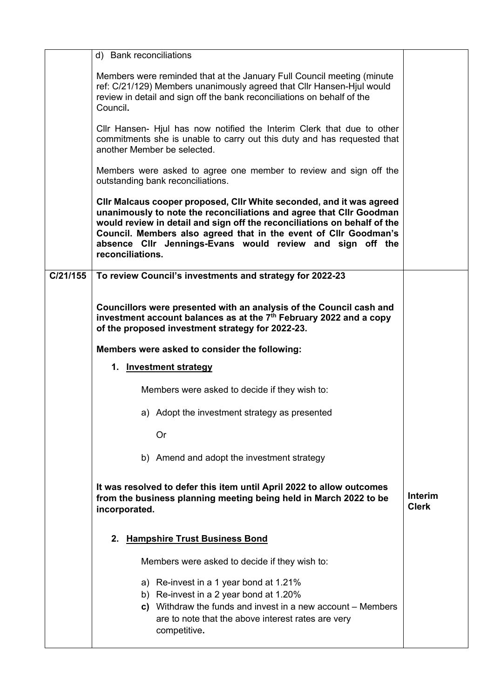|          | d) Bank reconciliations                                                                                                                                                                                                                                                                                                                                                      |                         |
|----------|------------------------------------------------------------------------------------------------------------------------------------------------------------------------------------------------------------------------------------------------------------------------------------------------------------------------------------------------------------------------------|-------------------------|
|          | Members were reminded that at the January Full Council meeting (minute<br>ref: C/21/129) Members unanimously agreed that Cllr Hansen-Hjul would<br>review in detail and sign off the bank reconciliations on behalf of the<br>Council.                                                                                                                                       |                         |
|          | CIIr Hansen- Hjul has now notified the Interim Clerk that due to other<br>commitments she is unable to carry out this duty and has requested that<br>another Member be selected.                                                                                                                                                                                             |                         |
|          | Members were asked to agree one member to review and sign off the<br>outstanding bank reconciliations.                                                                                                                                                                                                                                                                       |                         |
|          | CIIr Malcaus cooper proposed, CIIr White seconded, and it was agreed<br>unanimously to note the reconciliations and agree that Cllr Goodman<br>would review in detail and sign off the reconciliations on behalf of the<br>Council. Members also agreed that in the event of Cllr Goodman's<br>absence Cllr Jennings-Evans would review and sign off the<br>reconciliations. |                         |
| C/21/155 | To review Council's investments and strategy for 2022-23                                                                                                                                                                                                                                                                                                                     |                         |
|          | Councillors were presented with an analysis of the Council cash and<br>investment account balances as at the 7 <sup>th</sup> February 2022 and a copy<br>of the proposed investment strategy for 2022-23.                                                                                                                                                                    |                         |
|          | Members were asked to consider the following:                                                                                                                                                                                                                                                                                                                                |                         |
|          | 1. Investment strategy                                                                                                                                                                                                                                                                                                                                                       |                         |
|          | Members were asked to decide if they wish to:                                                                                                                                                                                                                                                                                                                                |                         |
|          | a) Adopt the investment strategy as presented                                                                                                                                                                                                                                                                                                                                |                         |
|          | Or                                                                                                                                                                                                                                                                                                                                                                           |                         |
|          | b) Amend and adopt the investment strategy                                                                                                                                                                                                                                                                                                                                   |                         |
|          | It was resolved to defer this item until April 2022 to allow outcomes<br>from the business planning meeting being held in March 2022 to be<br>incorporated.                                                                                                                                                                                                                  | Interim<br><b>Clerk</b> |
|          | <b>Hampshire Trust Business Bond</b><br>2.                                                                                                                                                                                                                                                                                                                                   |                         |
|          | Members were asked to decide if they wish to:                                                                                                                                                                                                                                                                                                                                |                         |
|          | a) Re-invest in a 1 year bond at 1.21%<br>b) Re-invest in a 2 year bond at 1.20%<br>c) Withdraw the funds and invest in a new account $-$ Members<br>are to note that the above interest rates are very<br>competitive.                                                                                                                                                      |                         |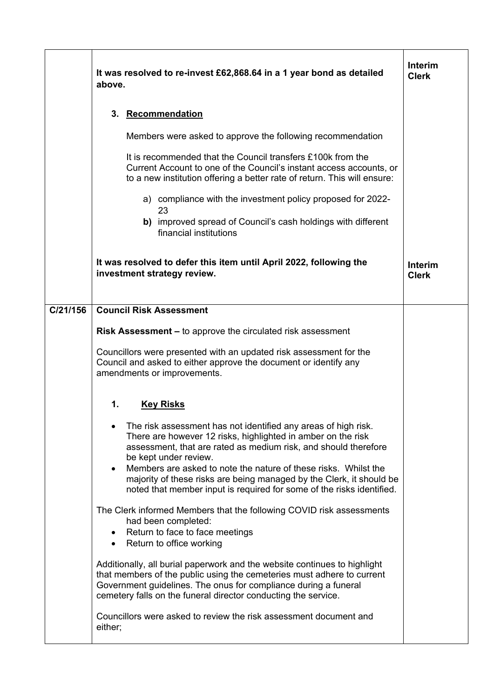|          | It was resolved to re-invest £62,868.64 in a 1 year bond as detailed<br>above.                                                                                        | Interim<br><b>Clerk</b>                                                                                                                                                                                                                                                                       |                         |
|----------|-----------------------------------------------------------------------------------------------------------------------------------------------------------------------|-----------------------------------------------------------------------------------------------------------------------------------------------------------------------------------------------------------------------------------------------------------------------------------------------|-------------------------|
|          |                                                                                                                                                                       | 3. Recommendation                                                                                                                                                                                                                                                                             |                         |
|          |                                                                                                                                                                       | Members were asked to approve the following recommendation                                                                                                                                                                                                                                    |                         |
|          |                                                                                                                                                                       | It is recommended that the Council transfers £100k from the<br>Current Account to one of the Council's instant access accounts, or<br>to a new institution offering a better rate of return. This will ensure:                                                                                |                         |
|          |                                                                                                                                                                       | a) compliance with the investment policy proposed for 2022-                                                                                                                                                                                                                                   |                         |
|          |                                                                                                                                                                       | 23<br>b) improved spread of Council's cash holdings with different<br>financial institutions                                                                                                                                                                                                  |                         |
|          |                                                                                                                                                                       | It was resolved to defer this item until April 2022, following the<br>investment strategy review.                                                                                                                                                                                             | Interim<br><b>Clerk</b> |
| C/21/156 |                                                                                                                                                                       | <b>Council Risk Assessment</b>                                                                                                                                                                                                                                                                |                         |
|          | <b>Risk Assessment – to approve the circulated risk assessment</b>                                                                                                    |                                                                                                                                                                                                                                                                                               |                         |
|          | Councillors were presented with an updated risk assessment for the<br>Council and asked to either approve the document or identify any<br>amendments or improvements. |                                                                                                                                                                                                                                                                                               |                         |
|          | 1.                                                                                                                                                                    | <b>Key Risks</b>                                                                                                                                                                                                                                                                              |                         |
|          | $\bullet$                                                                                                                                                             | The risk assessment has not identified any areas of high risk.<br>There are however 12 risks, highlighted in amber on the risk<br>assessment, that are rated as medium risk, and should therefore<br>be kept under review.<br>Members are asked to note the nature of these risks. Whilst the |                         |
|          |                                                                                                                                                                       | majority of these risks are being managed by the Clerk, it should be<br>noted that member input is required for some of the risks identified.                                                                                                                                                 |                         |
|          | $\bullet$                                                                                                                                                             | The Clerk informed Members that the following COVID risk assessments<br>had been completed:<br>Return to face to face meetings<br>Return to office working                                                                                                                                    |                         |
|          |                                                                                                                                                                       | Additionally, all burial paperwork and the website continues to highlight<br>that members of the public using the cemeteries must adhere to current<br>Government guidelines. The onus for compliance during a funeral<br>cemetery falls on the funeral director conducting the service.      |                         |
|          | either;                                                                                                                                                               | Councillors were asked to review the risk assessment document and                                                                                                                                                                                                                             |                         |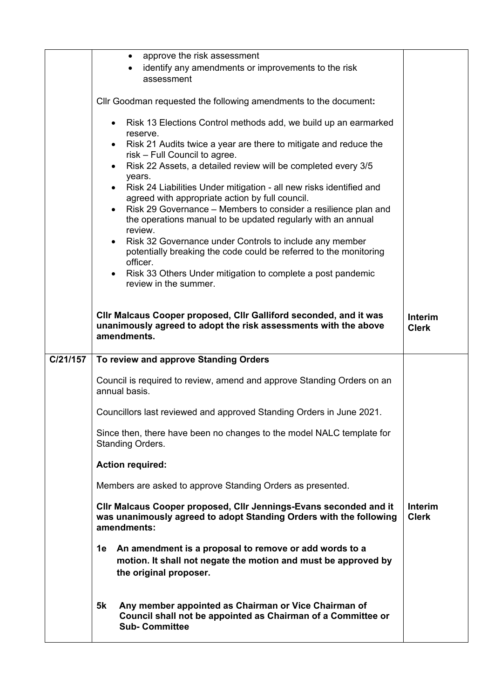|          | approve the risk assessment<br>$\bullet$<br>identify any amendments or improvements to the risk<br>assessment                                            |                                |  |  |  |  |  |  |
|----------|----------------------------------------------------------------------------------------------------------------------------------------------------------|--------------------------------|--|--|--|--|--|--|
|          | Cllr Goodman requested the following amendments to the document:                                                                                         |                                |  |  |  |  |  |  |
|          | Risk 13 Elections Control methods add, we build up an earmarked<br>reserve.                                                                              |                                |  |  |  |  |  |  |
|          | Risk 21 Audits twice a year are there to mitigate and reduce the<br>$\bullet$<br>risk - Full Council to agree.                                           |                                |  |  |  |  |  |  |
|          | Risk 22 Assets, a detailed review will be completed every 3/5<br>$\bullet$<br>years.                                                                     |                                |  |  |  |  |  |  |
|          | Risk 24 Liabilities Under mitigation - all new risks identified and<br>agreed with appropriate action by full council.                                   |                                |  |  |  |  |  |  |
|          | Risk 29 Governance – Members to consider a resilience plan and<br>the operations manual to be updated regularly with an annual<br>review.                |                                |  |  |  |  |  |  |
|          | Risk 32 Governance under Controls to include any member<br>potentially breaking the code could be referred to the monitoring<br>officer.                 |                                |  |  |  |  |  |  |
|          | Risk 33 Others Under mitigation to complete a post pandemic<br>review in the summer.                                                                     |                                |  |  |  |  |  |  |
|          | CIIr Malcaus Cooper proposed, CIIr Galliford seconded, and it was<br>unanimously agreed to adopt the risk assessments with the above<br>amendments.      | <b>Interim</b><br><b>Clerk</b> |  |  |  |  |  |  |
| C/21/157 | To review and approve Standing Orders                                                                                                                    |                                |  |  |  |  |  |  |
|          | Council is required to review, amend and approve Standing Orders on an<br>annual basis.                                                                  |                                |  |  |  |  |  |  |
|          | Councillors last reviewed and approved Standing Orders in June 2021.                                                                                     |                                |  |  |  |  |  |  |
|          | Since then, there have been no changes to the model NALC template for<br><b>Standing Orders.</b>                                                         |                                |  |  |  |  |  |  |
|          | <b>Action required:</b>                                                                                                                                  |                                |  |  |  |  |  |  |
|          | Members are asked to approve Standing Orders as presented.                                                                                               |                                |  |  |  |  |  |  |
|          | CIIr Malcaus Cooper proposed, CIIr Jennings-Evans seconded and it<br>was unanimously agreed to adopt Standing Orders with the following<br>amendments:   | <b>Interim</b><br><b>Clerk</b> |  |  |  |  |  |  |
|          | An amendment is a proposal to remove or add words to a<br>1е<br>motion. It shall not negate the motion and must be approved by<br>the original proposer. |                                |  |  |  |  |  |  |
|          | 5k<br>Any member appointed as Chairman or Vice Chairman of<br>Council shall not be appointed as Chairman of a Committee or<br><b>Sub-Committee</b>       |                                |  |  |  |  |  |  |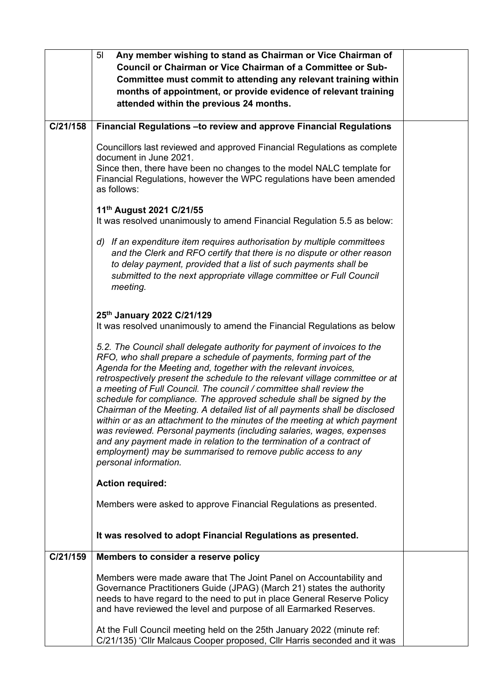|          | 5 <sub>l</sub><br>Any member wishing to stand as Chairman or Vice Chairman of                                                                                                                                                                                                                                                                                                                                                                                                                                                                                                                                                                                                                                                                                                                                                                           |  |
|----------|---------------------------------------------------------------------------------------------------------------------------------------------------------------------------------------------------------------------------------------------------------------------------------------------------------------------------------------------------------------------------------------------------------------------------------------------------------------------------------------------------------------------------------------------------------------------------------------------------------------------------------------------------------------------------------------------------------------------------------------------------------------------------------------------------------------------------------------------------------|--|
|          | Council or Chairman or Vice Chairman of a Committee or Sub-<br>Committee must commit to attending any relevant training within<br>months of appointment, or provide evidence of relevant training<br>attended within the previous 24 months.                                                                                                                                                                                                                                                                                                                                                                                                                                                                                                                                                                                                            |  |
|          |                                                                                                                                                                                                                                                                                                                                                                                                                                                                                                                                                                                                                                                                                                                                                                                                                                                         |  |
| C/21/158 | Financial Regulations - to review and approve Financial Regulations                                                                                                                                                                                                                                                                                                                                                                                                                                                                                                                                                                                                                                                                                                                                                                                     |  |
|          | Councillors last reviewed and approved Financial Regulations as complete<br>document in June 2021.<br>Since then, there have been no changes to the model NALC template for<br>Financial Regulations, however the WPC regulations have been amended                                                                                                                                                                                                                                                                                                                                                                                                                                                                                                                                                                                                     |  |
|          | as follows:                                                                                                                                                                                                                                                                                                                                                                                                                                                                                                                                                                                                                                                                                                                                                                                                                                             |  |
|          | 11 <sup>th</sup> August 2021 C/21/55<br>It was resolved unanimously to amend Financial Regulation 5.5 as below:                                                                                                                                                                                                                                                                                                                                                                                                                                                                                                                                                                                                                                                                                                                                         |  |
|          | d) If an expenditure item requires authorisation by multiple committees<br>and the Clerk and RFO certify that there is no dispute or other reason                                                                                                                                                                                                                                                                                                                                                                                                                                                                                                                                                                                                                                                                                                       |  |
|          | to delay payment, provided that a list of such payments shall be<br>submitted to the next appropriate village committee or Full Council<br>meeting.                                                                                                                                                                                                                                                                                                                                                                                                                                                                                                                                                                                                                                                                                                     |  |
|          | 25th January 2022 C/21/129<br>It was resolved unanimously to amend the Financial Regulations as below                                                                                                                                                                                                                                                                                                                                                                                                                                                                                                                                                                                                                                                                                                                                                   |  |
|          | 5.2. The Council shall delegate authority for payment of invoices to the<br>RFO, who shall prepare a schedule of payments, forming part of the<br>Agenda for the Meeting and, together with the relevant invoices,<br>retrospectively present the schedule to the relevant village committee or at<br>a meeting of Full Council. The council / committee shall review the<br>schedule for compliance. The approved schedule shall be signed by the<br>Chairman of the Meeting. A detailed list of all payments shall be disclosed<br>within or as an attachment to the minutes of the meeting at which payment<br>was reviewed. Personal payments (including salaries, wages, expenses<br>and any payment made in relation to the termination of a contract of<br>employment) may be summarised to remove public access to any<br>personal information. |  |
|          | <b>Action required:</b>                                                                                                                                                                                                                                                                                                                                                                                                                                                                                                                                                                                                                                                                                                                                                                                                                                 |  |
|          | Members were asked to approve Financial Regulations as presented.                                                                                                                                                                                                                                                                                                                                                                                                                                                                                                                                                                                                                                                                                                                                                                                       |  |
|          | It was resolved to adopt Financial Regulations as presented.                                                                                                                                                                                                                                                                                                                                                                                                                                                                                                                                                                                                                                                                                                                                                                                            |  |
| C/21/159 | Members to consider a reserve policy                                                                                                                                                                                                                                                                                                                                                                                                                                                                                                                                                                                                                                                                                                                                                                                                                    |  |
|          | Members were made aware that The Joint Panel on Accountability and<br>Governance Practitioners Guide (JPAG) (March 21) states the authority<br>needs to have regard to the need to put in place General Reserve Policy<br>and have reviewed the level and purpose of all Earmarked Reserves.                                                                                                                                                                                                                                                                                                                                                                                                                                                                                                                                                            |  |
|          | At the Full Council meeting held on the 25th January 2022 (minute ref:<br>C/21/135) 'Cllr Malcaus Cooper proposed, Cllr Harris seconded and it was                                                                                                                                                                                                                                                                                                                                                                                                                                                                                                                                                                                                                                                                                                      |  |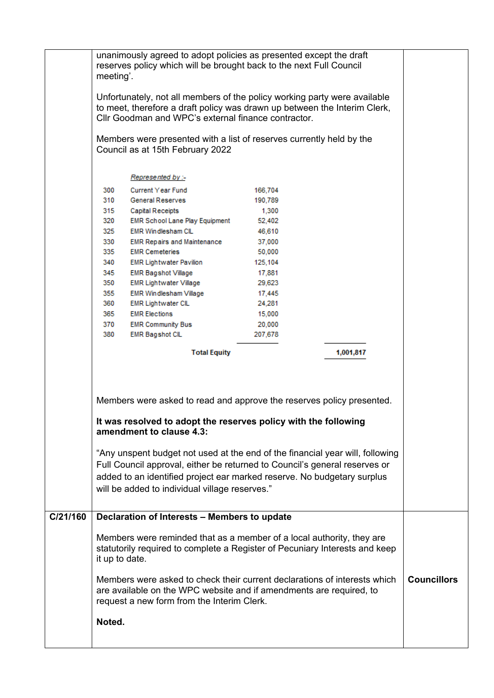|          | unanimously agreed to adopt policies as presented except the draft<br>reserves policy which will be brought back to the next Full Council<br>meeting'.<br>Unfortunately, not all members of the policy working party were available<br>to meet, therefore a draft policy was drawn up between the Interim Clerk,<br>Cllr Goodman and WPC's external finance contractor.<br>Members were presented with a list of reserves currently held by the<br>Council as at 15th February 2022<br>Represented by :-<br>300<br>Current Year Fund<br>166,704<br>310<br><b>General Reserves</b><br>190,789<br>315<br>1,300<br>Capital Receipts<br>320<br><b>EMR School Lane Play Equipment</b><br>52,402<br>325<br><b>EMR Windlesham CIL</b><br>46,610<br>330<br><b>EMR Repairs and Maintenance</b><br>37,000<br>335<br>50,000<br><b>EMR Cemeteries</b><br>340<br><b>EMR Lightwater Pavilion</b><br>125,104<br>345<br><b>EMR Bagshot Village</b><br>17,881<br>350<br><b>EMR Lightwater Village</b><br>29,623<br>355<br>EMR Windlesham Village<br>17,445<br>360<br><b>EMR Lightwater CIL</b><br>24,281<br>365<br><b>EMR Elections</b><br>15,000<br>370<br><b>EMR Community Bus</b><br>20,000<br>380<br><b>EMR Bagshot CIL</b><br>207,678 |                    |  |  |  |  |  |  |
|----------|---------------------------------------------------------------------------------------------------------------------------------------------------------------------------------------------------------------------------------------------------------------------------------------------------------------------------------------------------------------------------------------------------------------------------------------------------------------------------------------------------------------------------------------------------------------------------------------------------------------------------------------------------------------------------------------------------------------------------------------------------------------------------------------------------------------------------------------------------------------------------------------------------------------------------------------------------------------------------------------------------------------------------------------------------------------------------------------------------------------------------------------------------------------------------------------------------------------------------|--------------------|--|--|--|--|--|--|
|          | <b>Total Equity</b>                                                                                                                                                                                                                                                                                                                                                                                                                                                                                                                                                                                                                                                                                                                                                                                                                                                                                                                                                                                                                                                                                                                                                                                                       | 1,001,817          |  |  |  |  |  |  |
|          | Members were asked to read and approve the reserves policy presented.<br>It was resolved to adopt the reserves policy with the following<br>amendment to clause 4.3:<br>"Any unspent budget not used at the end of the financial year will, following<br>Full Council approval, either be returned to Council's general reserves or<br>added to an identified project ear marked reserve. No budgetary surplus<br>will be added to individual village reserves."                                                                                                                                                                                                                                                                                                                                                                                                                                                                                                                                                                                                                                                                                                                                                          |                    |  |  |  |  |  |  |
| C/21/160 | Declaration of Interests - Members to update                                                                                                                                                                                                                                                                                                                                                                                                                                                                                                                                                                                                                                                                                                                                                                                                                                                                                                                                                                                                                                                                                                                                                                              |                    |  |  |  |  |  |  |
|          | Members were reminded that as a member of a local authority, they are<br>statutorily required to complete a Register of Pecuniary Interests and keep<br>it up to date.<br>Members were asked to check their current declarations of interests which<br>are available on the WPC website and if amendments are required, to<br>request a new form from the Interim Clerk.                                                                                                                                                                                                                                                                                                                                                                                                                                                                                                                                                                                                                                                                                                                                                                                                                                                  | <b>Councillors</b> |  |  |  |  |  |  |
|          | Noted.                                                                                                                                                                                                                                                                                                                                                                                                                                                                                                                                                                                                                                                                                                                                                                                                                                                                                                                                                                                                                                                                                                                                                                                                                    |                    |  |  |  |  |  |  |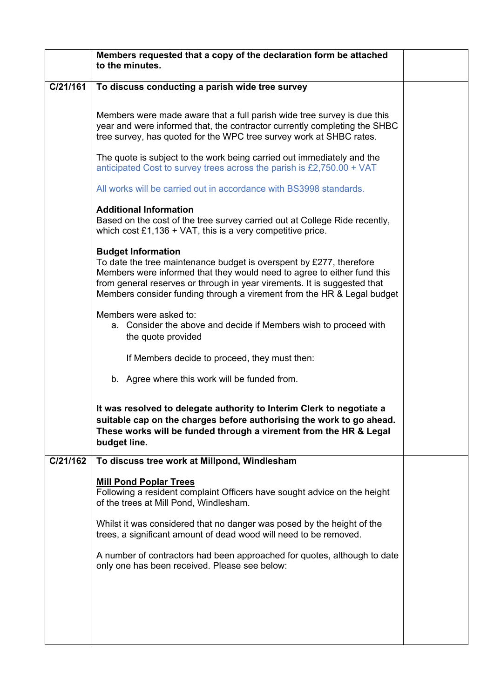|          | Members requested that a copy of the declaration form be attached<br>to the minutes.                                                                                                                                                                                                                                              |  |
|----------|-----------------------------------------------------------------------------------------------------------------------------------------------------------------------------------------------------------------------------------------------------------------------------------------------------------------------------------|--|
| C/21/161 | To discuss conducting a parish wide tree survey                                                                                                                                                                                                                                                                                   |  |
|          | Members were made aware that a full parish wide tree survey is due this<br>year and were informed that, the contractor currently completing the SHBC<br>tree survey, has quoted for the WPC tree survey work at SHBC rates.                                                                                                       |  |
|          | The quote is subject to the work being carried out immediately and the<br>anticipated Cost to survey trees across the parish is £2,750.00 + VAT                                                                                                                                                                                   |  |
|          | All works will be carried out in accordance with BS3998 standards.                                                                                                                                                                                                                                                                |  |
|          | <b>Additional Information</b><br>Based on the cost of the tree survey carried out at College Ride recently,<br>which cost $£1,136 + VAT$ , this is a very competitive price.                                                                                                                                                      |  |
|          | <b>Budget Information</b><br>To date the tree maintenance budget is overspent by £277, therefore<br>Members were informed that they would need to agree to either fund this<br>from general reserves or through in year virements. It is suggested that<br>Members consider funding through a virement from the HR & Legal budget |  |
|          | Members were asked to:<br>a. Consider the above and decide if Members wish to proceed with<br>the quote provided                                                                                                                                                                                                                  |  |
|          | If Members decide to proceed, they must then:                                                                                                                                                                                                                                                                                     |  |
|          | b. Agree where this work will be funded from.                                                                                                                                                                                                                                                                                     |  |
|          | It was resolved to delegate authority to Interim Clerk to negotiate a<br>suitable cap on the charges before authorising the work to go ahead.<br>These works will be funded through a virement from the HR & Legal<br>budget line.                                                                                                |  |
| C/21/162 | To discuss tree work at Millpond, Windlesham                                                                                                                                                                                                                                                                                      |  |
|          | <b>Mill Pond Poplar Trees</b><br>Following a resident complaint Officers have sought advice on the height<br>of the trees at Mill Pond, Windlesham.                                                                                                                                                                               |  |
|          | Whilst it was considered that no danger was posed by the height of the<br>trees, a significant amount of dead wood will need to be removed.                                                                                                                                                                                       |  |
|          | A number of contractors had been approached for quotes, although to date<br>only one has been received. Please see below:                                                                                                                                                                                                         |  |
|          |                                                                                                                                                                                                                                                                                                                                   |  |
|          |                                                                                                                                                                                                                                                                                                                                   |  |
|          |                                                                                                                                                                                                                                                                                                                                   |  |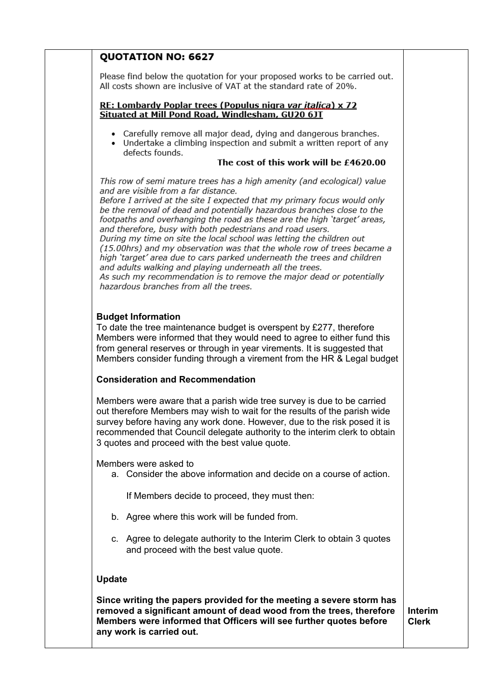# **QUOTATION NO: 6627**

Please find below the quotation for your proposed works to be carried out. All costs shown are inclusive of VAT at the standard rate of 20%.

#### RE: Lombardy Poplar trees (Populus nigra var italica) x 72 Situated at Mill Pond Road, Windlesham, GU20 6JT

- Carefully remove all major dead, dying and dangerous branches.
- Undertake a climbing inspection and submit a written report of any defects founds.

#### The cost of this work will be £4620.00

This row of semi mature trees has a high amenity (and ecological) value and are visible from a far distance.

Before I arrived at the site I expected that my primary focus would only be the removal of dead and potentially hazardous branches close to the footpaths and overhanging the road as these are the high 'target' areas, and therefore, busy with both pedestrians and road users.

During my time on site the local school was letting the children out (15.00hrs) and my observation was that the whole row of trees became a high 'target' area due to cars parked underneath the trees and children and adults walking and playing underneath all the trees. As such my recommendation is to remove the major dead or potentially

hazardous branches from all the trees.

### **Budget Information**

To date the tree maintenance budget is overspent by £277, therefore Members were informed that they would need to agree to either fund this from general reserves or through in year virements. It is suggested that Members consider funding through a virement from the HR & Legal budget

### **Consideration and Recommendation**

Members were aware that a parish wide tree survey is due to be carried out therefore Members may wish to wait for the results of the parish wide survey before having any work done. However, due to the risk posed it is recommended that Council delegate authority to the interim clerk to obtain 3 quotes and proceed with the best value quote.

Members were asked to

a. Consider the above information and decide on a course of action.

If Members decide to proceed, they must then:

- b. Agree where this work will be funded from.
- c. Agree to delegate authority to the Interim Clerk to obtain 3 quotes and proceed with the best value quote.

#### **Update**

**Since writing the papers provided for the meeting a severe storm has removed a significant amount of dead wood from the trees, therefore Members were informed that Officers will see further quotes before any work is carried out.**

**Interim Clerk**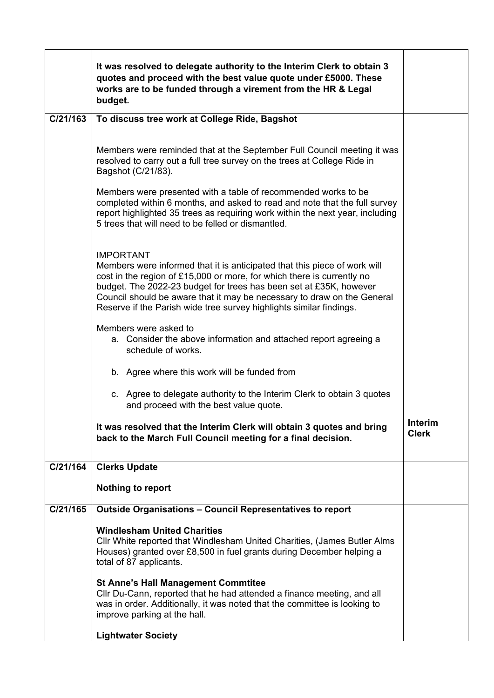|          | It was resolved to delegate authority to the Interim Clerk to obtain 3<br>quotes and proceed with the best value quote under £5000. These<br>works are to be funded through a virement from the HR & Legal<br>budget.                                                                                                                                                                           |                                |  |  |  |  |  |  |
|----------|-------------------------------------------------------------------------------------------------------------------------------------------------------------------------------------------------------------------------------------------------------------------------------------------------------------------------------------------------------------------------------------------------|--------------------------------|--|--|--|--|--|--|
| C/21/163 | To discuss tree work at College Ride, Bagshot                                                                                                                                                                                                                                                                                                                                                   |                                |  |  |  |  |  |  |
|          | Members were reminded that at the September Full Council meeting it was<br>resolved to carry out a full tree survey on the trees at College Ride in<br>Bagshot (C/21/83).<br>Members were presented with a table of recommended works to be                                                                                                                                                     |                                |  |  |  |  |  |  |
|          | completed within 6 months, and asked to read and note that the full survey<br>report highlighted 35 trees as requiring work within the next year, including<br>5 trees that will need to be felled or dismantled.                                                                                                                                                                               |                                |  |  |  |  |  |  |
|          | <b>IMPORTANT</b><br>Members were informed that it is anticipated that this piece of work will<br>cost in the region of £15,000 or more, for which there is currently no<br>budget. The 2022-23 budget for trees has been set at £35K, however<br>Council should be aware that it may be necessary to draw on the General<br>Reserve if the Parish wide tree survey highlights similar findings. |                                |  |  |  |  |  |  |
|          | Members were asked to<br>a. Consider the above information and attached report agreeing a<br>schedule of works.                                                                                                                                                                                                                                                                                 |                                |  |  |  |  |  |  |
|          | b. Agree where this work will be funded from                                                                                                                                                                                                                                                                                                                                                    |                                |  |  |  |  |  |  |
|          | c. Agree to delegate authority to the Interim Clerk to obtain 3 quotes<br>and proceed with the best value quote.                                                                                                                                                                                                                                                                                |                                |  |  |  |  |  |  |
|          | It was resolved that the Interim Clerk will obtain 3 quotes and bring<br>back to the March Full Council meeting for a final decision.                                                                                                                                                                                                                                                           | <b>Interim</b><br><b>Clerk</b> |  |  |  |  |  |  |
| C/21/164 | <b>Clerks Update</b>                                                                                                                                                                                                                                                                                                                                                                            |                                |  |  |  |  |  |  |
|          | Nothing to report                                                                                                                                                                                                                                                                                                                                                                               |                                |  |  |  |  |  |  |
| C/21/165 | <b>Outside Organisations - Council Representatives to report</b>                                                                                                                                                                                                                                                                                                                                |                                |  |  |  |  |  |  |
|          | <b>Windlesham United Charities</b><br>CIIr White reported that Windlesham United Charities, (James Butler Alms<br>Houses) granted over £8,500 in fuel grants during December helping a<br>total of 87 applicants.                                                                                                                                                                               |                                |  |  |  |  |  |  |
|          | <b>St Anne's Hall Management Commtitee</b><br>CIIr Du-Cann, reported that he had attended a finance meeting, and all<br>was in order. Additionally, it was noted that the committee is looking to<br>improve parking at the hall.                                                                                                                                                               |                                |  |  |  |  |  |  |
|          | <b>Lightwater Society</b>                                                                                                                                                                                                                                                                                                                                                                       |                                |  |  |  |  |  |  |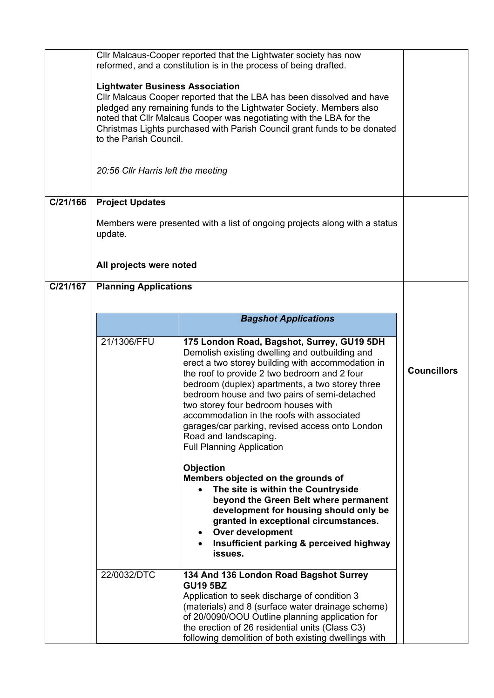|          | CIIr Malcaus-Cooper reported that the Lightwater society has now<br>reformed, and a constitution is in the process of being drafted.<br><b>Lightwater Business Association</b><br>Cllr Malcaus Cooper reported that the LBA has been dissolved and have<br>pledged any remaining funds to the Lightwater Society. Members also<br>noted that Cllr Malcaus Cooper was negotiating with the LBA for the<br>Christmas Lights purchased with Parish Council grant funds to be donated<br>to the Parish Council.<br>20:56 Cllr Harris left the meeting |                                                                                                                                                                                                                                                                                                                                                                                                                                                                                                           |                    |  |  |  |  |  |  |
|----------|---------------------------------------------------------------------------------------------------------------------------------------------------------------------------------------------------------------------------------------------------------------------------------------------------------------------------------------------------------------------------------------------------------------------------------------------------------------------------------------------------------------------------------------------------|-----------------------------------------------------------------------------------------------------------------------------------------------------------------------------------------------------------------------------------------------------------------------------------------------------------------------------------------------------------------------------------------------------------------------------------------------------------------------------------------------------------|--------------------|--|--|--|--|--|--|
| C/21/166 | <b>Project Updates</b><br>Members were presented with a list of ongoing projects along with a status<br>update.                                                                                                                                                                                                                                                                                                                                                                                                                                   |                                                                                                                                                                                                                                                                                                                                                                                                                                                                                                           |                    |  |  |  |  |  |  |
|          | All projects were noted                                                                                                                                                                                                                                                                                                                                                                                                                                                                                                                           |                                                                                                                                                                                                                                                                                                                                                                                                                                                                                                           |                    |  |  |  |  |  |  |
| C/21/167 | <b>Planning Applications</b>                                                                                                                                                                                                                                                                                                                                                                                                                                                                                                                      |                                                                                                                                                                                                                                                                                                                                                                                                                                                                                                           |                    |  |  |  |  |  |  |
|          |                                                                                                                                                                                                                                                                                                                                                                                                                                                                                                                                                   | <b>Bagshot Applications</b>                                                                                                                                                                                                                                                                                                                                                                                                                                                                               |                    |  |  |  |  |  |  |
|          | 21/1306/FFU                                                                                                                                                                                                                                                                                                                                                                                                                                                                                                                                       | 175 London Road, Bagshot, Surrey, GU19 5DH<br>Demolish existing dwelling and outbuilding and<br>erect a two storey building with accommodation in<br>the roof to provide 2 two bedroom and 2 four<br>bedroom (duplex) apartments, a two storey three<br>bedroom house and two pairs of semi-detached<br>two storey four bedroom houses with<br>accommodation in the roofs with associated<br>garages/car parking, revised access onto London<br>Road and landscaping.<br><b>Full Planning Application</b> | <b>Councillors</b> |  |  |  |  |  |  |
|          |                                                                                                                                                                                                                                                                                                                                                                                                                                                                                                                                                   | <b>Objection</b><br>Members objected on the grounds of<br>The site is within the Countryside<br>beyond the Green Belt where permanent<br>development for housing should only be<br>granted in exceptional circumstances.<br>Over development<br>$\bullet$<br>Insufficient parking & perceived highway<br>issues.                                                                                                                                                                                          |                    |  |  |  |  |  |  |
|          | 22/0032/DTC                                                                                                                                                                                                                                                                                                                                                                                                                                                                                                                                       | 134 And 136 London Road Bagshot Surrey<br><b>GU19 5BZ</b><br>Application to seek discharge of condition 3<br>(materials) and 8 (surface water drainage scheme)<br>of 20/0090/OOU Outline planning application for<br>the erection of 26 residential units (Class C3)<br>following demolition of both existing dwellings with                                                                                                                                                                              |                    |  |  |  |  |  |  |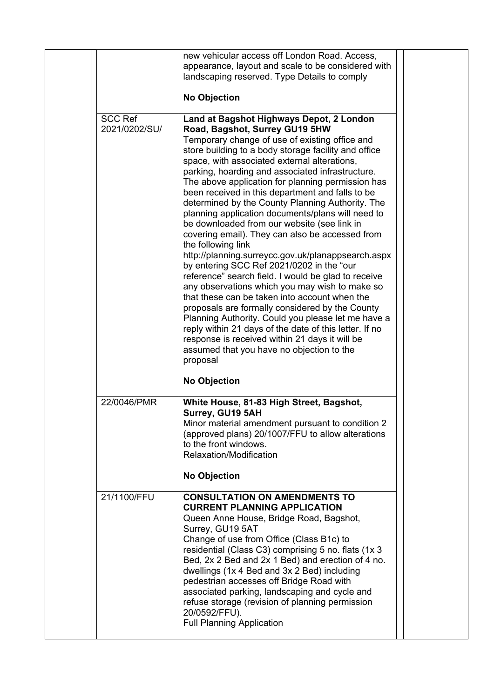|                                 | new vehicular access off London Road. Access,<br>appearance, layout and scale to be considered with<br>landscaping reserved. Type Details to comply<br><b>No Objection</b>                                                                                                                                                                                                                                                                                                                                                                                                                                                                                                                                                                                                                                                                                                                                                                                                                                                                                                                                                                                                    |  |
|---------------------------------|-------------------------------------------------------------------------------------------------------------------------------------------------------------------------------------------------------------------------------------------------------------------------------------------------------------------------------------------------------------------------------------------------------------------------------------------------------------------------------------------------------------------------------------------------------------------------------------------------------------------------------------------------------------------------------------------------------------------------------------------------------------------------------------------------------------------------------------------------------------------------------------------------------------------------------------------------------------------------------------------------------------------------------------------------------------------------------------------------------------------------------------------------------------------------------|--|
| <b>SCC Ref</b><br>2021/0202/SU/ | Land at Bagshot Highways Depot, 2 London<br>Road, Bagshot, Surrey GU19 5HW<br>Temporary change of use of existing office and<br>store building to a body storage facility and office<br>space, with associated external alterations,<br>parking, hoarding and associated infrastructure.<br>The above application for planning permission has<br>been received in this department and falls to be<br>determined by the County Planning Authority. The<br>planning application documents/plans will need to<br>be downloaded from our website (see link in<br>covering email). They can also be accessed from<br>the following link<br>http://planning.surreycc.gov.uk/planappsearch.aspx<br>by entering SCC Ref 2021/0202 in the "our<br>reference" search field. I would be glad to receive<br>any observations which you may wish to make so<br>that these can be taken into account when the<br>proposals are formally considered by the County<br>Planning Authority. Could you please let me have a<br>reply within 21 days of the date of this letter. If no<br>response is received within 21 days it will be<br>assumed that you have no objection to the<br>proposal |  |
|                                 | <b>No Objection</b>                                                                                                                                                                                                                                                                                                                                                                                                                                                                                                                                                                                                                                                                                                                                                                                                                                                                                                                                                                                                                                                                                                                                                           |  |
| 22/0046/PMR                     | White House, 81-83 High Street, Bagshot,<br>Surrey, GU19 5AH<br>Minor material amendment pursuant to condition 2<br>(approved plans) 20/1007/FFU to allow alterations<br>to the front windows.<br>Relaxation/Modification<br><b>No Objection</b>                                                                                                                                                                                                                                                                                                                                                                                                                                                                                                                                                                                                                                                                                                                                                                                                                                                                                                                              |  |
| 21/1100/FFU                     | <b>CONSULTATION ON AMENDMENTS TO</b><br><b>CURRENT PLANNING APPLICATION</b><br>Queen Anne House, Bridge Road, Bagshot,<br>Surrey, GU19 5AT<br>Change of use from Office (Class B1c) to<br>residential (Class C3) comprising 5 no. flats (1x 3<br>Bed, 2x 2 Bed and 2x 1 Bed) and erection of 4 no.<br>dwellings (1x 4 Bed and 3x 2 Bed) including<br>pedestrian accesses off Bridge Road with<br>associated parking, landscaping and cycle and<br>refuse storage (revision of planning permission<br>20/0592/FFU).<br><b>Full Planning Application</b>                                                                                                                                                                                                                                                                                                                                                                                                                                                                                                                                                                                                                        |  |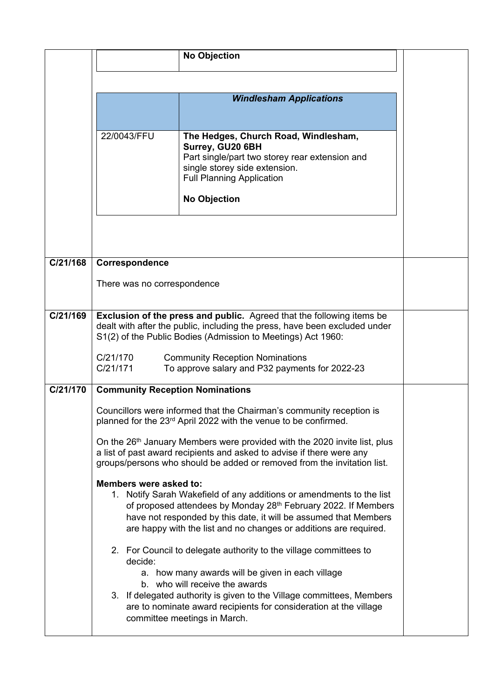|          |                                                                                                                                                                                                                                                                                                                                                                                                                       | <b>No Objection</b>                                                                                                                                                                                    |  |  |  |  |  |  |
|----------|-----------------------------------------------------------------------------------------------------------------------------------------------------------------------------------------------------------------------------------------------------------------------------------------------------------------------------------------------------------------------------------------------------------------------|--------------------------------------------------------------------------------------------------------------------------------------------------------------------------------------------------------|--|--|--|--|--|--|
|          |                                                                                                                                                                                                                                                                                                                                                                                                                       |                                                                                                                                                                                                        |  |  |  |  |  |  |
|          |                                                                                                                                                                                                                                                                                                                                                                                                                       |                                                                                                                                                                                                        |  |  |  |  |  |  |
|          |                                                                                                                                                                                                                                                                                                                                                                                                                       | <b>Windlesham Applications</b>                                                                                                                                                                         |  |  |  |  |  |  |
|          |                                                                                                                                                                                                                                                                                                                                                                                                                       |                                                                                                                                                                                                        |  |  |  |  |  |  |
|          | 22/0043/FFU                                                                                                                                                                                                                                                                                                                                                                                                           | The Hedges, Church Road, Windlesham,<br>Surrey, GU20 6BH<br>Part single/part two storey rear extension and<br>single storey side extension.<br><b>Full Planning Application</b><br><b>No Objection</b> |  |  |  |  |  |  |
|          |                                                                                                                                                                                                                                                                                                                                                                                                                       |                                                                                                                                                                                                        |  |  |  |  |  |  |
| C/21/168 | Correspondence                                                                                                                                                                                                                                                                                                                                                                                                        |                                                                                                                                                                                                        |  |  |  |  |  |  |
|          | There was no correspondence                                                                                                                                                                                                                                                                                                                                                                                           |                                                                                                                                                                                                        |  |  |  |  |  |  |
| C/21/169 | <b>Exclusion of the press and public.</b> Agreed that the following items be<br>dealt with after the public, including the press, have been excluded under<br>S1(2) of the Public Bodies (Admission to Meetings) Act 1960:                                                                                                                                                                                            |                                                                                                                                                                                                        |  |  |  |  |  |  |
|          | C/21/170<br><b>Community Reception Nominations</b><br>C/21/171<br>To approve salary and P32 payments for 2022-23                                                                                                                                                                                                                                                                                                      |                                                                                                                                                                                                        |  |  |  |  |  |  |
| C/21/170 | <b>Community Reception Nominations</b>                                                                                                                                                                                                                                                                                                                                                                                |                                                                                                                                                                                                        |  |  |  |  |  |  |
|          | Councillors were informed that the Chairman's community reception is<br>planned for the 23 <sup>rd</sup> April 2022 with the venue to be confirmed.                                                                                                                                                                                                                                                                   |                                                                                                                                                                                                        |  |  |  |  |  |  |
|          | On the 26 <sup>th</sup> January Members were provided with the 2020 invite list, plus<br>a list of past award recipients and asked to advise if there were any<br>groups/persons who should be added or removed from the invitation list.                                                                                                                                                                             |                                                                                                                                                                                                        |  |  |  |  |  |  |
|          | <b>Members were asked to:</b><br>1. Notify Sarah Wakefield of any additions or amendments to the list<br>of proposed attendees by Monday 28 <sup>th</sup> February 2022. If Members<br>have not responded by this date, it will be assumed that Members                                                                                                                                                               |                                                                                                                                                                                                        |  |  |  |  |  |  |
|          | are happy with the list and no changes or additions are required.<br>2. For Council to delegate authority to the village committees to<br>decide:<br>a. how many awards will be given in each village<br>b. who will receive the awards<br>3. If delegated authority is given to the Village committees, Members<br>are to nominate award recipients for consideration at the village<br>committee meetings in March. |                                                                                                                                                                                                        |  |  |  |  |  |  |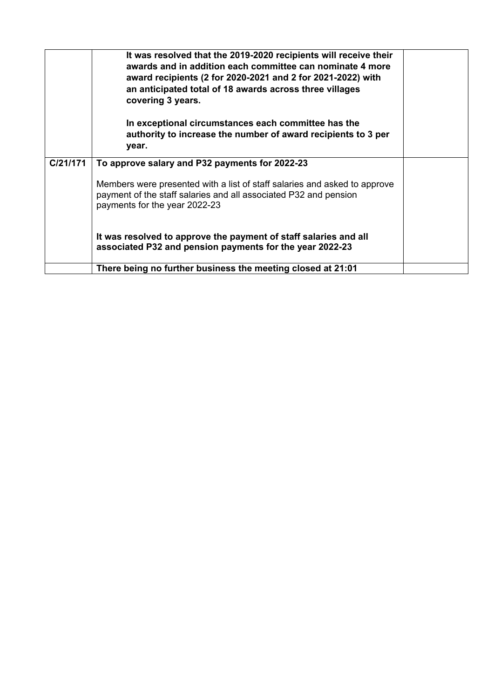|          | It was resolved that the 2019-2020 recipients will receive their<br>awards and in addition each committee can nominate 4 more<br>award recipients (2 for 2020-2021 and 2 for 2021-2022) with<br>an anticipated total of 18 awards across three villages<br>covering 3 years.<br>In exceptional circumstances each committee has the<br>authority to increase the number of award recipients to 3 per<br>year. |  |
|----------|---------------------------------------------------------------------------------------------------------------------------------------------------------------------------------------------------------------------------------------------------------------------------------------------------------------------------------------------------------------------------------------------------------------|--|
| C/21/171 | To approve salary and P32 payments for 2022-23                                                                                                                                                                                                                                                                                                                                                                |  |
|          | Members were presented with a list of staff salaries and asked to approve<br>payment of the staff salaries and all associated P32 and pension<br>payments for the year 2022-23                                                                                                                                                                                                                                |  |
|          | It was resolved to approve the payment of staff salaries and all<br>associated P32 and pension payments for the year 2022-23                                                                                                                                                                                                                                                                                  |  |
|          | There being no further business the meeting closed at 21:01                                                                                                                                                                                                                                                                                                                                                   |  |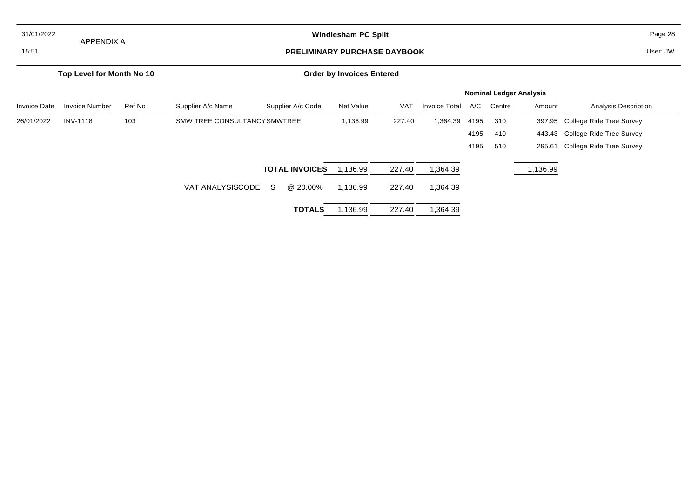| 31/01/2022          | APPENDIX A                |        |                              | Page 28                             |                                  |            |                      |      |                                |          |                             |  |
|---------------------|---------------------------|--------|------------------------------|-------------------------------------|----------------------------------|------------|----------------------|------|--------------------------------|----------|-----------------------------|--|
| 15:51               |                           |        |                              | <b>PRELIMINARY PURCHASE DAYBOOK</b> |                                  |            |                      |      |                                |          |                             |  |
|                     | Top Level for Month No 10 |        |                              |                                     | <b>Order by Invoices Entered</b> |            |                      |      |                                |          |                             |  |
|                     |                           |        |                              |                                     |                                  |            |                      |      | <b>Nominal Ledger Analysis</b> |          |                             |  |
| <b>Invoice Date</b> | <b>Invoice Number</b>     | Ref No | Supplier A/c Name            | Supplier A/c Code                   | Net Value                        | <b>VAT</b> | <b>Invoice Total</b> | A/C  | Centre                         | Amount   | <b>Analysis Description</b> |  |
| 26/01/2022          | <b>INV-1118</b>           | 103    | SMW TREE CONSULTANCY SMWTREE |                                     | 1,136.99                         | 227.40     | 1,364.39             | 4195 | 310                            | 397.95   | College Ride Tree Survey    |  |
|                     |                           |        |                              |                                     |                                  |            |                      | 4195 | 410                            | 443.43   | College Ride Tree Survey    |  |
|                     |                           |        |                              |                                     |                                  |            |                      | 4195 | 510                            | 295.61   | College Ride Tree Survey    |  |
|                     |                           |        |                              | <b>TOTAL INVOICES</b>               | 1,136.99                         | 227.40     | 1,364.39             |      |                                | 1,136.99 |                             |  |
|                     |                           |        | VAT ANALYSISCODE             | @ 20.00%<br>S.                      | 1,136.99                         | 227.40     | 1,364.39             |      |                                |          |                             |  |
|                     |                           |        |                              | <b>TOTALS</b>                       | 1,136.99                         | 227.40     | 1,364.39             |      |                                |          |                             |  |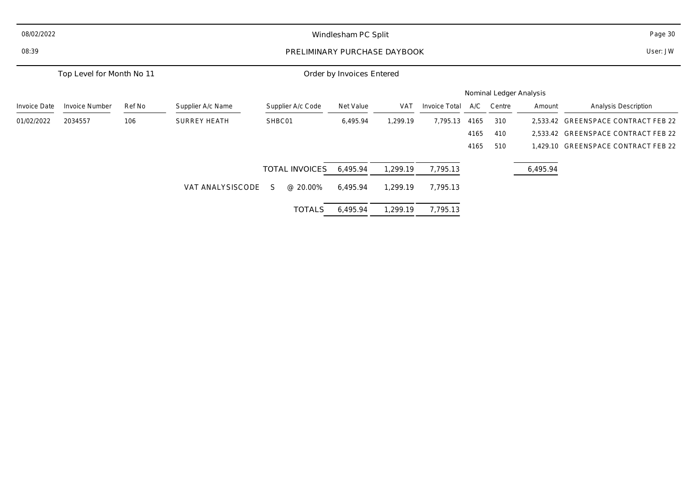| 08/02/2022   | Windlesham PC Split       |        |                              |        |                   |                           |            |                      | Page 30 |        |                         |                                     |
|--------------|---------------------------|--------|------------------------------|--------|-------------------|---------------------------|------------|----------------------|---------|--------|-------------------------|-------------------------------------|
| 08:39        |                           |        | PRELIMINARY PURCHASE DAYBOOK |        |                   |                           |            |                      |         |        | User: JW                |                                     |
|              | Top Level for Month No 11 |        |                              |        |                   | Order by Invoices Entered |            |                      |         |        |                         |                                     |
|              |                           |        |                              |        |                   |                           |            |                      |         |        | Nominal Ledger Analysis |                                     |
| Invoice Date | <b>Invoice Number</b>     | Ref No | Supplier A/c Name            |        | Supplier A/c Code | Net Value                 | <b>VAT</b> | <b>Invoice Total</b> | A/C     | Centre | Amount                  | Analysis Description                |
| 01/02/2022   | 2034557                   | 106    | <b>SURREY HEATH</b>          | SHBC01 |                   | 6,495.94                  | 1,299.19   | 7,795.13             | 4165    | 310    |                         | 2,533.42 GREENSPACE CONTRACT FEB 22 |
|              |                           |        |                              |        |                   |                           |            |                      | 4165    | 410    |                         | 2,533.42 GREENSPACE CONTRACT FEB 22 |
|              |                           |        |                              |        |                   |                           |            |                      | 4165    | 510    |                         | 1,429.10 GREENSPACE CONTRACT FEB 22 |
|              |                           |        |                              |        | TOTAL INVOICES    | 6,495.94                  | 1,299.19   | 7,795.13             |         |        | 6,495.94                |                                     |
|              |                           |        | VAT ANALYSISCODE             | S.     | @ 20.00%          | 6,495.94                  | 1,299.19   | 7,795.13             |         |        |                         |                                     |
|              |                           |        |                              |        | <b>TOTALS</b>     | 6,495.94                  | 1,299.19   | 7,795.13             |         |        |                         |                                     |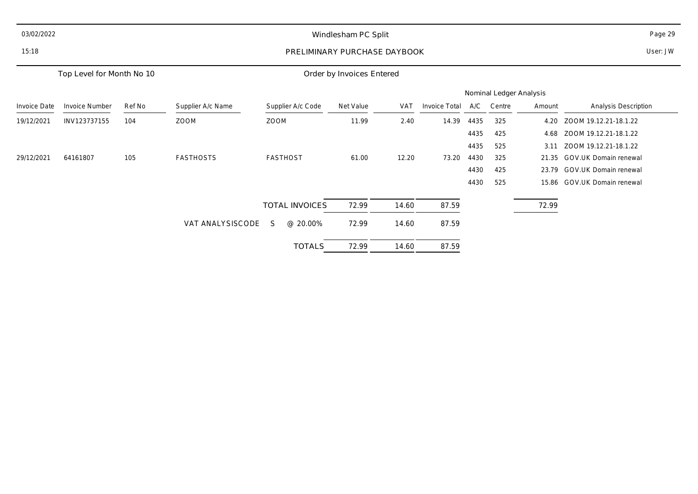| 03/02/2022   |                           |        | Windlesham PC Split          |                   |           |            |               |      |                         | Page 29  |                              |
|--------------|---------------------------|--------|------------------------------|-------------------|-----------|------------|---------------|------|-------------------------|----------|------------------------------|
| 15:18        |                           |        | PRELIMINARY PURCHASE DAYBOOK |                   |           |            |               |      |                         | User: JW |                              |
|              | Top Level for Month No 10 |        | Order by Invoices Entered    |                   |           |            |               |      |                         |          |                              |
|              |                           |        |                              |                   |           |            |               |      | Nominal Ledger Analysis |          |                              |
| Invoice Date | Invoice Number            | Ref No | Supplier A/c Name            | Supplier A/c Code | Net Value | <b>VAT</b> | Invoice Total | A/C  | Centre                  | Amount   | Analysis Description         |
| 19/12/2021   | INV123737155              | 104    | ZOOM                         | ZOOM              | 11.99     | 2.40       | 14.39         | 4435 | 325                     | 4.20     | ZOOM 19.12.21-18.1.22        |
|              |                           |        |                              |                   |           |            |               | 4435 | 425                     | 4.68     | ZOOM 19.12.21-18.1.22        |
|              |                           |        |                              |                   |           |            |               | 4435 | 525                     | 3.11     | ZOOM 19.12.21-18.1.22        |
| 29/12/2021   | 64161807                  | 105    | <b>FASTHOSTS</b>             | <b>FASTHOST</b>   | 61.00     | 12.20      | 73.20         | 4430 | 325                     | 21.35    | <b>GOV.UK Domain renewal</b> |
|              |                           |        |                              |                   |           |            |               | 4430 | 425                     | 23.79    | GOV.UK Domain renewal        |
|              |                           |        |                              |                   |           |            |               | 4430 | 525                     | 15.86    | GOV.UK Domain renewal        |
|              |                           |        |                              | TOTAL INVOICES    | 72.99     | 14.60      | 87.59         |      |                         | 72.99    |                              |
|              |                           |        | VAT ANALYSISCODE             | S.<br>@ 20.00%    | 72.99     | 14.60      | 87.59         |      |                         |          |                              |
|              |                           |        |                              | <b>TOTALS</b>     | 72.99     | 14.60      | 87.59         |      |                         |          |                              |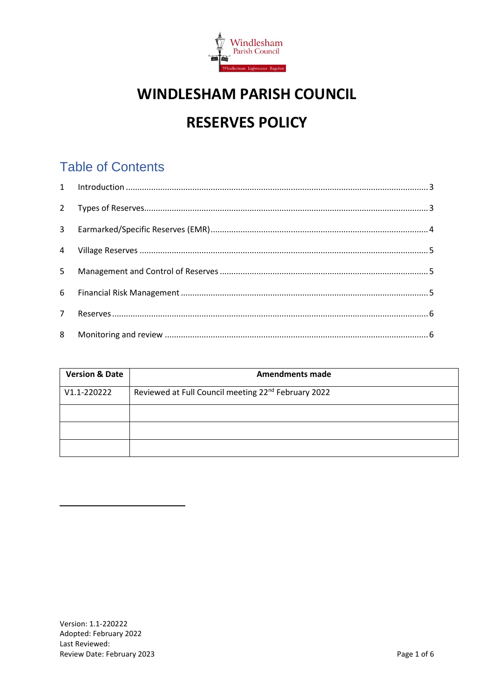

# **WINDLESHAM PARISH COUNCIL RESERVES POLICY**

# **Table of Contents**

| $\overline{2}$ |  |
|----------------|--|
|                |  |
| 4              |  |
| 5              |  |
| 6              |  |
| $7^{\circ}$    |  |
| 8              |  |

| <b>Version &amp; Date</b> | <b>Amendments made</b>                                          |
|---------------------------|-----------------------------------------------------------------|
| V1.1-220222               | Reviewed at Full Council meeting 22 <sup>nd</sup> February 2022 |
|                           |                                                                 |
|                           |                                                                 |
|                           |                                                                 |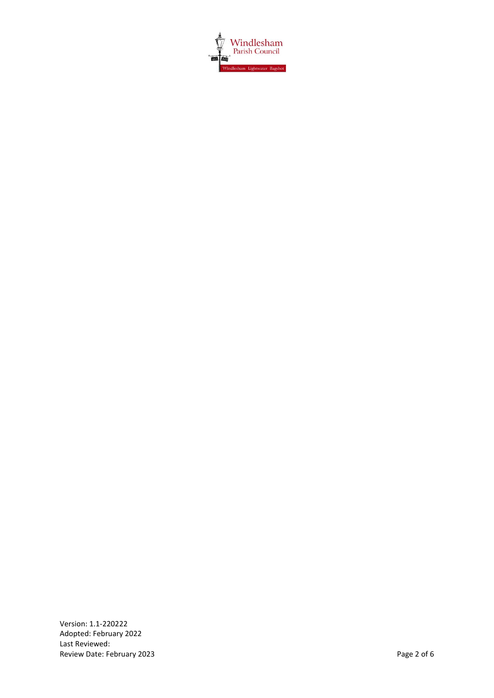

Version: 1. 1 - 220222 Adopted: February 2022 Last Reviewed: Review Date: February 2023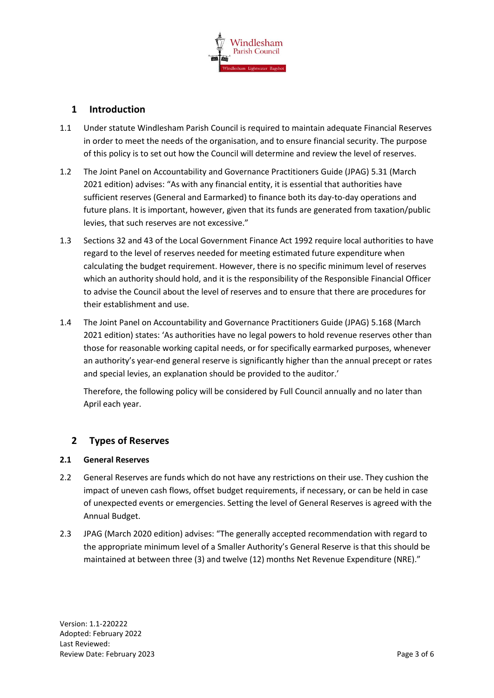

# <span id="page-27-0"></span>**1 Introduction**

- 1.1 Under statute Windlesham Parish Council is required to maintain adequate Financial Reserves in order to meet the needs of the organisation, and to ensure financial security. The purpose of this policy is to set out how the Council will determine and review the level of reserves.
- 1.2 The Joint Panel on Accountability and Governance Practitioners Guide (JPAG) 5.31 (March 2021 edition) advises: "As with any financial entity, it is essential that authorities have sufficient reserves (General and Earmarked) to finance both its day-to-day operations and future plans. It is important, however, given that its funds are generated from taxation/public levies, that such reserves are not excessive."
- 1.3 Sections 32 and 43 of the Local Government Finance Act 1992 require local authorities to have regard to the level of reserves needed for meeting estimated future expenditure when calculating the budget requirement. However, there is no specific minimum level of reserves which an authority should hold, and it is the responsibility of the Responsible Financial Officer to advise the Council about the level of reserves and to ensure that there are procedures for their establishment and use.
- 1.4 The Joint Panel on Accountability and Governance Practitioners Guide (JPAG) 5.168 (March 2021 edition) states: 'As authorities have no legal powers to hold revenue reserves other than those for reasonable working capital needs, or for specifically earmarked purposes, whenever an authority's year-end general reserve is significantly higher than the annual precept or rates and special levies, an explanation should be provided to the auditor.'

Therefore, the following policy will be considered by Full Council annually and no later than April each year.

# <span id="page-27-1"></span>**2 Types of Reserves**

#### **2.1 General Reserves**

- 2.2 General Reserves are funds which do not have any restrictions on their use. They cushion the impact of uneven cash flows, offset budget requirements, if necessary, or can be held in case of unexpected events or emergencies. Setting the level of General Reserves is agreed with the Annual Budget.
- 2.3 JPAG (March 2020 edition) advises: "The generally accepted recommendation with regard to the appropriate minimum level of a Smaller Authority's General Reserve is that this should be maintained at between three (3) and twelve (12) months Net Revenue Expenditure (NRE)."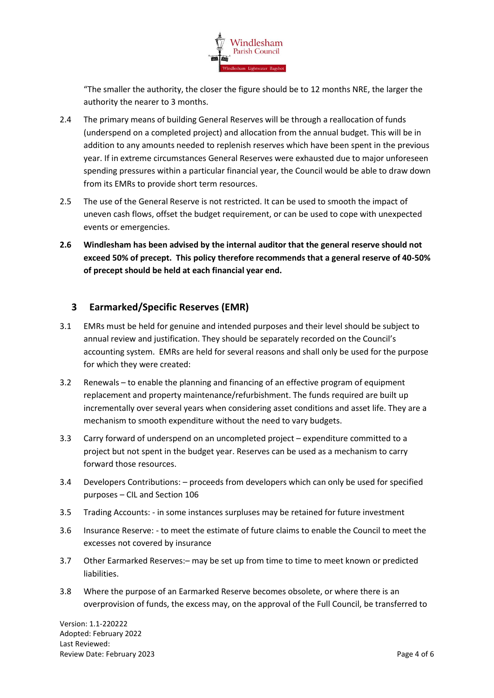

"The smaller the authority, the closer the figure should be to 12 months NRE, the larger the authority the nearer to 3 months.

- 2.4 The primary means of building General Reserves will be through a reallocation of funds (underspend on a completed project) and allocation from the annual budget. This will be in addition to any amounts needed to replenish reserves which have been spent in the previous year. If in extreme circumstances General Reserves were exhausted due to major unforeseen spending pressures within a particular financial year, the Council would be able to draw down from its EMRs to provide short term resources.
- 2.5 The use of the General Reserve is not restricted. It can be used to smooth the impact of uneven cash flows, offset the budget requirement, or can be used to cope with unexpected events or emergencies.
- **2.6 Windlesham has been advised by the internal auditor that the general reserve should not exceed 50% of precept. This policy therefore recommends that a general reserve of 40-50% of precept should be held at each financial year end.**

# <span id="page-28-0"></span>**3 Earmarked/Specific Reserves (EMR)**

- 3.1 EMRs must be held for genuine and intended purposes and their level should be subject to annual review and justification. They should be separately recorded on the Council's accounting system. EMRs are held for several reasons and shall only be used for the purpose for which they were created:
- 3.2 Renewals to enable the planning and financing of an effective program of equipment replacement and property maintenance/refurbishment. The funds required are built up incrementally over several years when considering asset conditions and asset life. They are a mechanism to smooth expenditure without the need to vary budgets.
- 3.3 Carry forward of underspend on an uncompleted project expenditure committed to a project but not spent in the budget year. Reserves can be used as a mechanism to carry forward those resources.
- 3.4 Developers Contributions: proceeds from developers which can only be used for specified purposes – CIL and Section 106
- 3.5 Trading Accounts: in some instances surpluses may be retained for future investment
- 3.6 Insurance Reserve: to meet the estimate of future claims to enable the Council to meet the excesses not covered by insurance
- 3.7 Other Earmarked Reserves:– may be set up from time to time to meet known or predicted liabilities.
- 3.8 Where the purpose of an Earmarked Reserve becomes obsolete, or where there is an overprovision of funds, the excess may, on the approval of the Full Council, be transferred to

Version: 1.1-220222 Adopted: February 2022 Last Reviewed: Review Date: February 2023 **Page 4 of 6**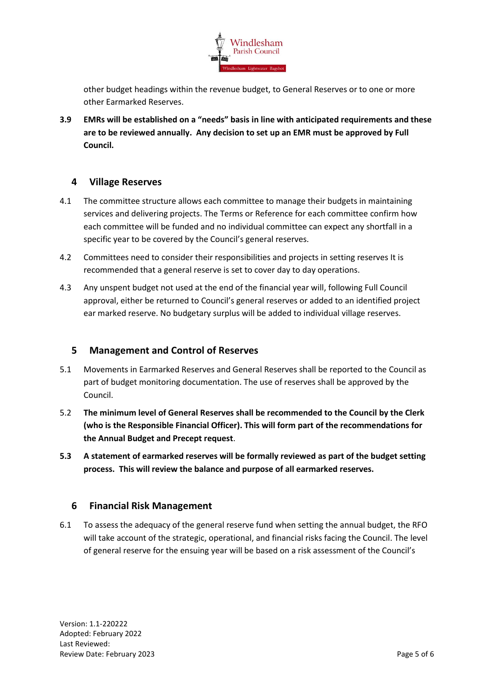

other budget headings within the revenue budget, to General Reserves or to one or more other Earmarked Reserves.

**3.9 EMRs will be established on a "needs" basis in line with anticipated requirements and these are to be reviewed annually. Any decision to set up an EMR must be approved by Full Council.** 

# <span id="page-29-0"></span>**4 Village Reserves**

- 4.1 The committee structure allows each committee to manage their budgets in maintaining services and delivering projects. The Terms or Reference for each committee confirm how each committee will be funded and no individual committee can expect any shortfall in a specific year to be covered by the Council's general reserves.
- 4.2 Committees need to consider their responsibilities and projects in setting reserves It is recommended that a general reserve is set to cover day to day operations.
- 4.3 Any unspent budget not used at the end of the financial year will, following Full Council approval, either be returned to Council's general reserves or added to an identified project ear marked reserve. No budgetary surplus will be added to individual village reserves.

# <span id="page-29-1"></span>**5 Management and Control of Reserves**

- 5.1 Movements in Earmarked Reserves and General Reserves shall be reported to the Council as part of budget monitoring documentation. The use of reserves shall be approved by the Council.
- 5.2 **The minimum level of General Reserves shall be recommended to the Council by the Clerk (who is the Responsible Financial Officer). This will form part of the recommendations for the Annual Budget and Precept request**.
- **5.3 A statement of earmarked reserves will be formally reviewed as part of the budget setting process. This will review the balance and purpose of all earmarked reserves.**

### <span id="page-29-2"></span>**6 Financial Risk Management**

6.1 To assess the adequacy of the general reserve fund when setting the annual budget, the RFO will take account of the strategic, operational, and financial risks facing the Council. The level of general reserve for the ensuing year will be based on a risk assessment of the Council's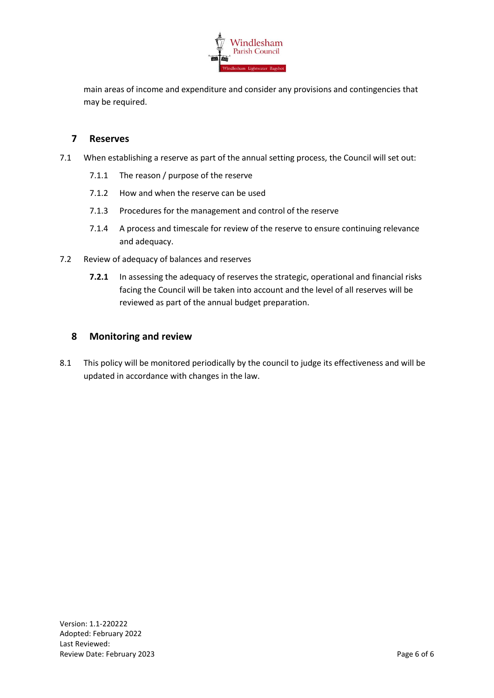

main areas of income and expenditure and consider any provisions and contingencies that may be required.

# <span id="page-30-0"></span>**7 Reserves**

- 7.1 When establishing a reserve as part of the annual setting process, the Council will set out:
	- 7.1.1 The reason / purpose of the reserve
	- 7.1.2 How and when the reserve can be used
	- 7.1.3 Procedures for the management and control of the reserve
	- 7.1.4 A process and timescale for review of the reserve to ensure continuing relevance and adequacy.
- 7.2 Review of adequacy of balances and reserves
	- **7.2.1** In assessing the adequacy of reserves the strategic, operational and financial risks facing the Council will be taken into account and the level of all reserves will be reviewed as part of the annual budget preparation.

### <span id="page-30-1"></span>**8 Monitoring and review**

8.1 This policy will be monitored periodically by the council to judge its effectiveness and will be updated in accordance with changes in the law.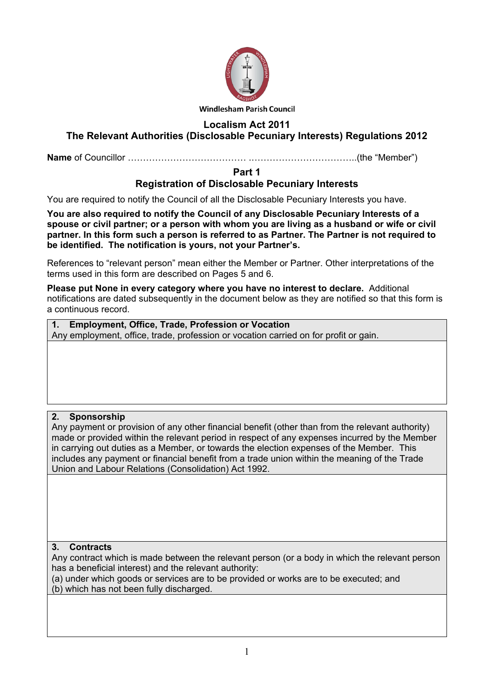

# **Localism Act 2011**

# **The Relevant Authorities (Disclosable Pecuniary Interests) Regulations 2012**

**Name** of Councillor ………………………………… .……………………………..(the "Member")

**Part 1**

# **Registration of Disclosable Pecuniary Interests**

You are required to notify the Council of all the Disclosable Pecuniary Interests you have.

**You are also required to notify the Council of any Disclosable Pecuniary Interests of a spouse or civil partner; or a person with whom you are living as a husband or wife or civil partner. In this form such a person is referred to as Partner. The Partner is not required to be identified. The notification is yours, not your Partner's.** 

References to "relevant person" mean either the Member or Partner. Other interpretations of the terms used in this form are described on Pages 5 and 6.

**Please put None in every category where you have no interest to declare.** Additional notifications are dated subsequently in the document below as they are notified so that this form is a continuous record.

**1. Employment, Office, Trade, Profession or Vocation** Any employment, office, trade, profession or vocation carried on for profit or gain.

# **2. Sponsorship**

Any payment or provision of any other financial benefit (other than from the relevant authority) made or provided within the relevant period in respect of any expenses incurred by the Member in carrying out duties as a Member, or towards the election expenses of the Member. This includes any payment or financial benefit from a trade union within the meaning of the Trade Union and Labour Relations (Consolidation) Act 1992.

# **3. Contracts**

Any contract which is made between the relevant person (or a body in which the relevant person has a beneficial interest) and the relevant authority:

(a) under which goods or services are to be provided or works are to be executed; and (b) which has not been fully discharged.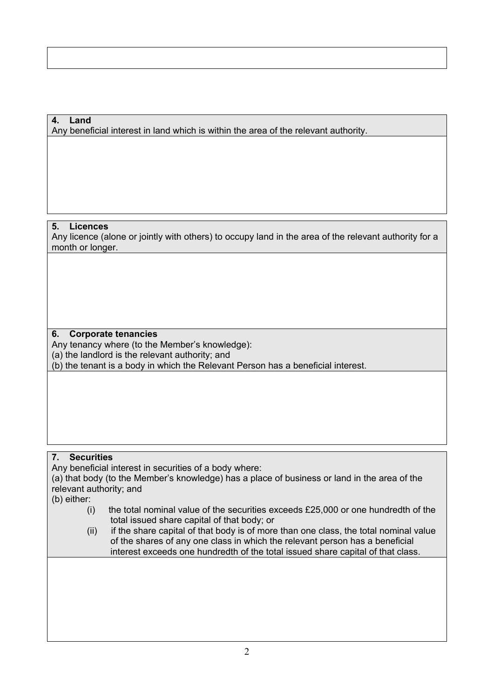# **4. Land**

Any beneficial interest in land which is within the area of the relevant authority.

# **5. Licences**

Any licence (alone or jointly with others) to occupy land in the area of the relevant authority for a month or longer.

# **6. Corporate tenancies**

Any tenancy where (to the Member's knowledge):

(a) the landlord is the relevant authority; and

(b) the tenant is a body in which the Relevant Person has a beneficial interest.

# **7. Securities**

Any beneficial interest in securities of a body where:

(a) that body (to the Member's knowledge) has a place of business or land in the area of the relevant authority; and

(b) either:

- (i) the total nominal value of the securities exceeds £25,000 or one hundredth of the total issued share capital of that body; or
- (ii) if the share capital of that body is of more than one class, the total nominal value of the shares of any one class in which the relevant person has a beneficial interest exceeds one hundredth of the total issued share capital of that class.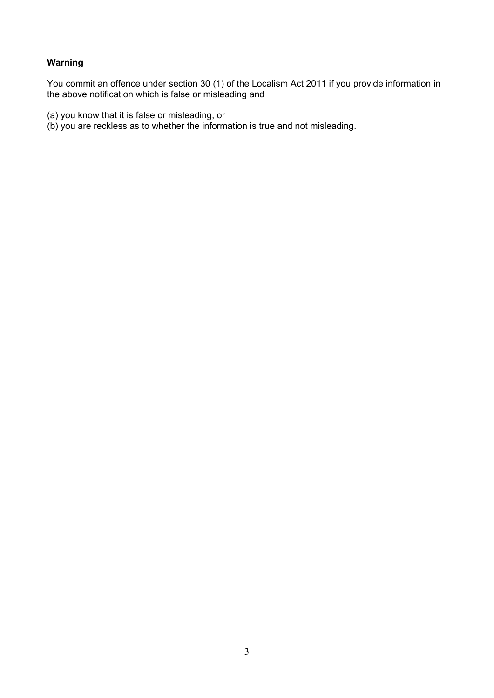# **Warning**

You commit an offence under section 30 (1) of the Localism Act 2011 if you provide information in the above notification which is false or misleading and

(a) you know that it is false or misleading, or

(b) you are reckless as to whether the information is true and not misleading.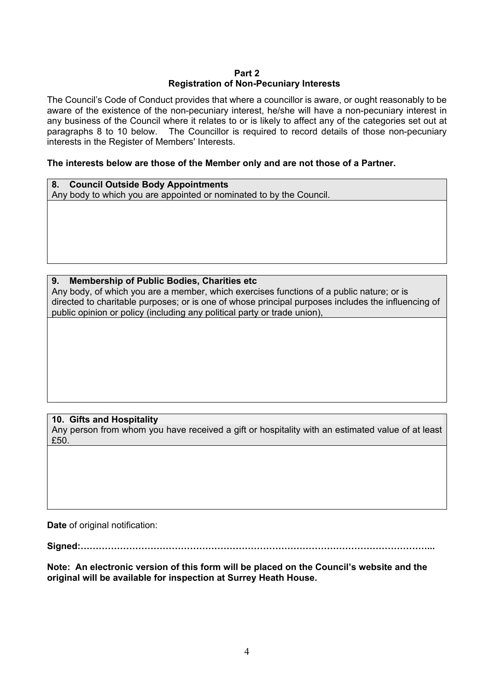#### **Part 2 Registration of Non-Pecuniary Interests**

The Council's Code of Conduct provides that where a councillor is aware, or ought reasonably to be aware of the existence of the non-pecuniary interest, he/she will have a non-pecuniary interest in any business of the Council where it relates to or is likely to affect any of the categories set out at paragraphs 8 to 10 below. The Councillor is required to record details of those non-pecuniary interests in the Register of Members' Interests.

# **The interests below are those of the Member only and are not those of a Partner.**

| 8. Council Outside Body Appointments |  |  |                                                                     |
|--------------------------------------|--|--|---------------------------------------------------------------------|
|                                      |  |  | Any body to which you are appointed or nominated to by the Council. |

### **9. Membership of Public Bodies, Charities etc**

Any body, of which you are a member, which exercises functions of a public nature; or is directed to charitable purposes; or is one of whose principal purposes includes the influencing of public opinion or policy (including any political party or trade union),

### **10. Gifts and Hospitality**

Any person from whom you have received a gift or hospitality with an estimated value of at least £50.

**Date** of original notification:

**Signed:……………………………………………………………………………………………………...** 

**Note: An electronic version of this form will be placed on the Council's website and the original will be available for inspection at Surrey Heath House.**